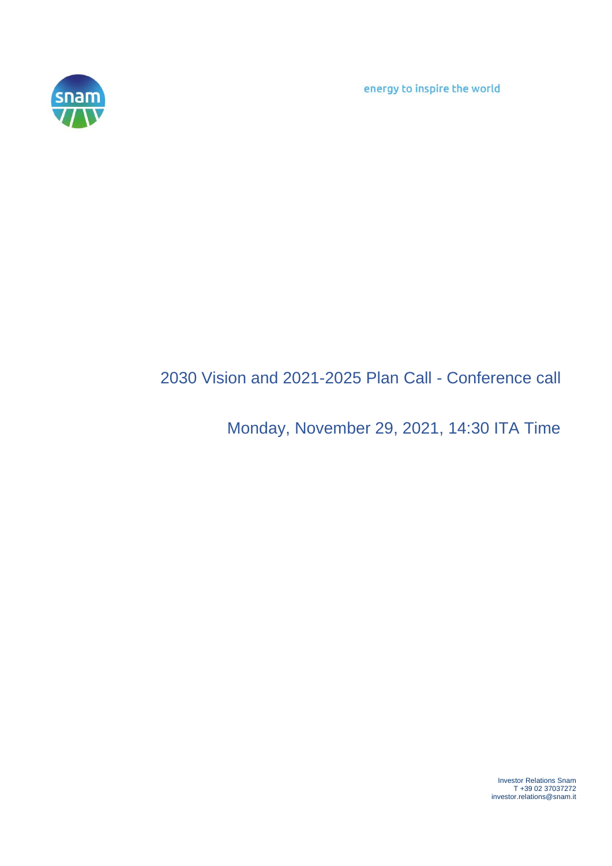energy to inspire the world



## 2030 Vision and 2021-2025 Plan Call - Conference call

## Monday, November 29, 2021, 14:30 ITA Time

Investor Relations Snam T +39 02 37037272 investor.relations@snam.it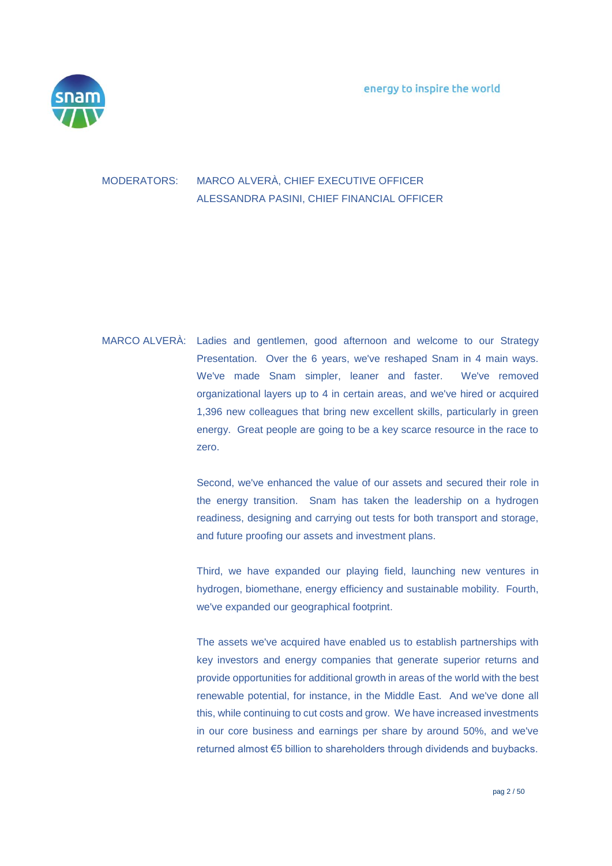

## MODERATORS: MARCO ALVERÀ, CHIEF EXECUTIVE OFFICER ALESSANDRA PASINI, CHIEF FINANCIAL OFFICER

MARCO ALVERÀ: Ladies and gentlemen, good afternoon and welcome to our Strategy Presentation. Over the 6 years, we've reshaped Snam in 4 main ways. We've made Snam simpler, leaner and faster. We've removed organizational layers up to 4 in certain areas, and we've hired or acquired 1,396 new colleagues that bring new excellent skills, particularly in green energy. Great people are going to be a key scarce resource in the race to zero.

> Second, we've enhanced the value of our assets and secured their role in the energy transition. Snam has taken the leadership on a hydrogen readiness, designing and carrying out tests for both transport and storage, and future proofing our assets and investment plans.

> Third, we have expanded our playing field, launching new ventures in hydrogen, biomethane, energy efficiency and sustainable mobility. Fourth, we've expanded our geographical footprint.

> The assets we've acquired have enabled us to establish partnerships with key investors and energy companies that generate superior returns and provide opportunities for additional growth in areas of the world with the best renewable potential, for instance, in the Middle East. And we've done all this, while continuing to cut costs and grow. We have increased investments in our core business and earnings per share by around 50%, and we've returned almost €5 billion to shareholders through dividends and buybacks.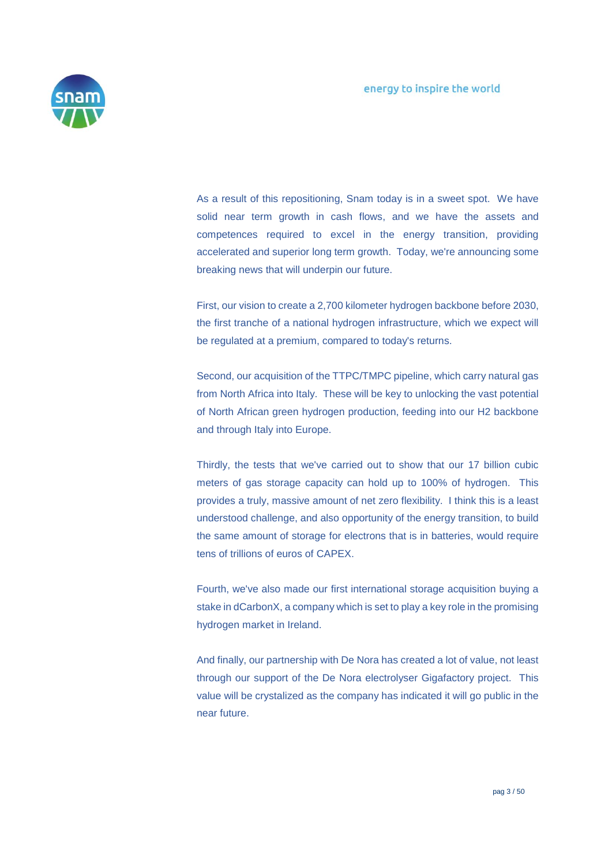

As a result of this repositioning, Snam today is in a sweet spot. We have solid near term growth in cash flows, and we have the assets and competences required to excel in the energy transition, providing accelerated and superior long term growth. Today, we're announcing some breaking news that will underpin our future.

First, our vision to create a 2,700 kilometer hydrogen backbone before 2030, the first tranche of a national hydrogen infrastructure, which we expect will be regulated at a premium, compared to today's returns.

Second, our acquisition of the TTPC/TMPC pipeline, which carry natural gas from North Africa into Italy. These will be key to unlocking the vast potential of North African green hydrogen production, feeding into our H2 backbone and through Italy into Europe.

Thirdly, the tests that we've carried out to show that our 17 billion cubic meters of gas storage capacity can hold up to 100% of hydrogen. This provides a truly, massive amount of net zero flexibility. I think this is a least understood challenge, and also opportunity of the energy transition, to build the same amount of storage for electrons that is in batteries, would require tens of trillions of euros of CAPEX.

Fourth, we've also made our first international storage acquisition buying a stake in dCarbonX, a company which is set to play a key role in the promising hydrogen market in Ireland.

And finally, our partnership with De Nora has created a lot of value, not least through our support of the De Nora electrolyser Gigafactory project. This value will be crystalized as the company has indicated it will go public in the near future.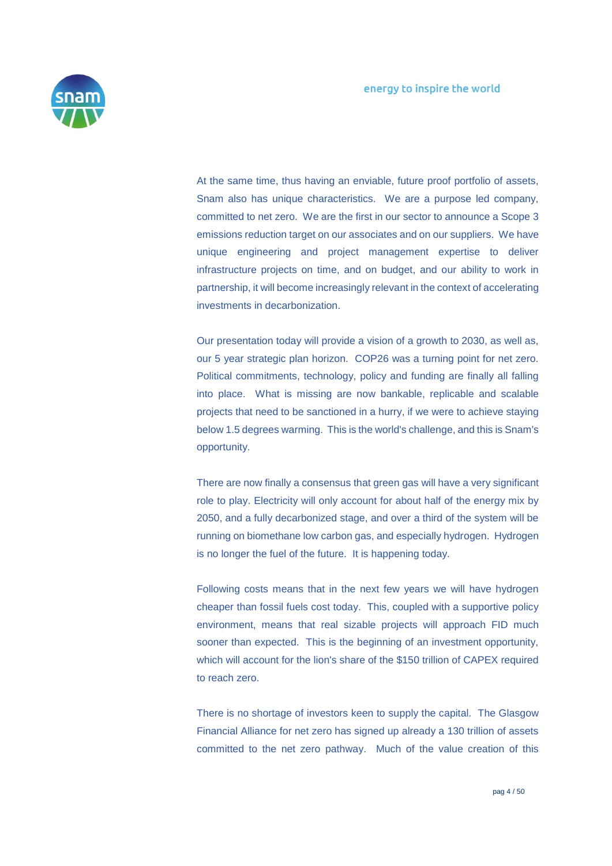

At the same time, thus having an enviable, future proof portfolio of assets, Snam also has unique characteristics. We are a purpose led company, committed to net zero. We are the first in our sector to announce a Scope 3 emissions reduction target on our associates and on our suppliers. We have unique engineering and project management expertise to deliver infrastructure projects on time, and on budget, and our ability to work in partnership, it will become increasingly relevant in the context of accelerating investments in decarbonization.

Our presentation today will provide a vision of a growth to 2030, as well as, our 5 year strategic plan horizon. COP26 was a turning point for net zero. Political commitments, technology, policy and funding are finally all falling into place. What is missing are now bankable, replicable and scalable projects that need to be sanctioned in a hurry, if we were to achieve staying below 1.5 degrees warming. This is the world's challenge, and this is Snam's opportunity.

There are now finally a consensus that green gas will have a very significant role to play. Electricity will only account for about half of the energy mix by 2050, and a fully decarbonized stage, and over a third of the system will be running on biomethane low carbon gas, and especially hydrogen. Hydrogen is no longer the fuel of the future. It is happening today.

Following costs means that in the next few years we will have hydrogen cheaper than fossil fuels cost today. This, coupled with a supportive policy environment, means that real sizable projects will approach FID much sooner than expected. This is the beginning of an investment opportunity, which will account for the lion's share of the \$150 trillion of CAPEX required to reach zero.

There is no shortage of investors keen to supply the capital. The Glasgow Financial Alliance for net zero has signed up already a 130 trillion of assets committed to the net zero pathway. Much of the value creation of this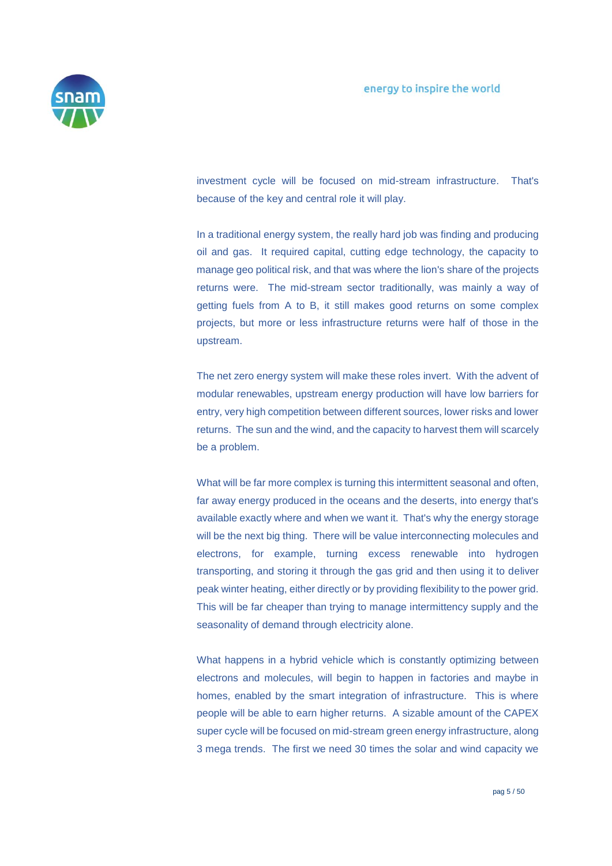

investment cycle will be focused on mid-stream infrastructure. That's because of the key and central role it will play.

In a traditional energy system, the really hard job was finding and producing oil and gas. It required capital, cutting edge technology, the capacity to manage geo political risk, and that was where the lion's share of the projects returns were. The mid-stream sector traditionally, was mainly a way of getting fuels from A to B, it still makes good returns on some complex projects, but more or less infrastructure returns were half of those in the upstream.

The net zero energy system will make these roles invert. With the advent of modular renewables, upstream energy production will have low barriers for entry, very high competition between different sources, lower risks and lower returns. The sun and the wind, and the capacity to harvest them will scarcely be a problem.

What will be far more complex is turning this intermittent seasonal and often, far away energy produced in the oceans and the deserts, into energy that's available exactly where and when we want it. That's why the energy storage will be the next big thing. There will be value interconnecting molecules and electrons, for example, turning excess renewable into hydrogen transporting, and storing it through the gas grid and then using it to deliver peak winter heating, either directly or by providing flexibility to the power grid. This will be far cheaper than trying to manage intermittency supply and the seasonality of demand through electricity alone.

What happens in a hybrid vehicle which is constantly optimizing between electrons and molecules, will begin to happen in factories and maybe in homes, enabled by the smart integration of infrastructure. This is where people will be able to earn higher returns. A sizable amount of the CAPEX super cycle will be focused on mid-stream green energy infrastructure, along 3 mega trends. The first we need 30 times the solar and wind capacity we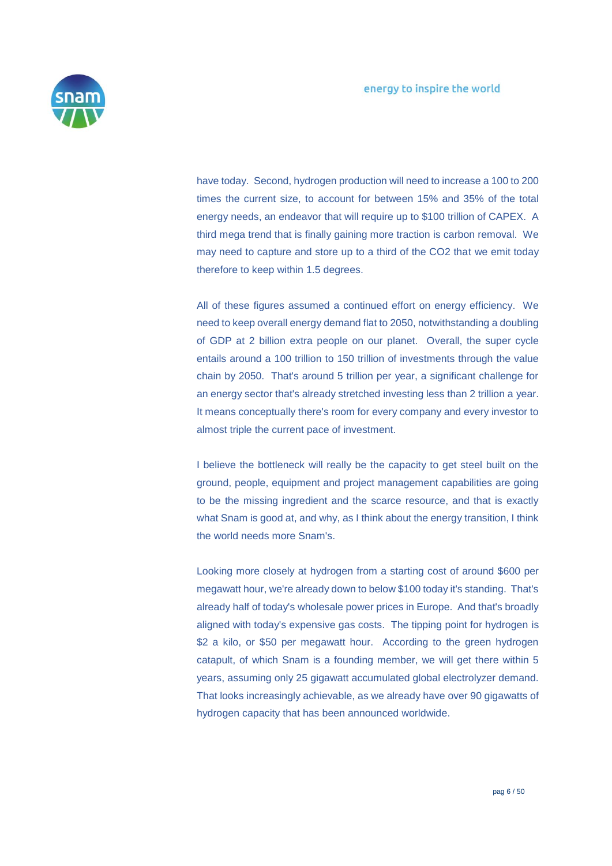

have today. Second, hydrogen production will need to increase a 100 to 200 times the current size, to account for between 15% and 35% of the total energy needs, an endeavor that will require up to \$100 trillion of CAPEX. A third mega trend that is finally gaining more traction is carbon removal. We may need to capture and store up to a third of the CO2 that we emit today therefore to keep within 1.5 degrees.

All of these figures assumed a continued effort on energy efficiency. We need to keep overall energy demand flat to 2050, notwithstanding a doubling of GDP at 2 billion extra people on our planet. Overall, the super cycle entails around a 100 trillion to 150 trillion of investments through the value chain by 2050. That's around 5 trillion per year, a significant challenge for an energy sector that's already stretched investing less than 2 trillion a year. It means conceptually there's room for every company and every investor to almost triple the current pace of investment.

I believe the bottleneck will really be the capacity to get steel built on the ground, people, equipment and project management capabilities are going to be the missing ingredient and the scarce resource, and that is exactly what Snam is good at, and why, as I think about the energy transition, I think the world needs more Snam's.

Looking more closely at hydrogen from a starting cost of around \$600 per megawatt hour, we're already down to below \$100 today it's standing. That's already half of today's wholesale power prices in Europe. And that's broadly aligned with today's expensive gas costs. The tipping point for hydrogen is \$2 a kilo, or \$50 per megawatt hour. According to the green hydrogen catapult, of which Snam is a founding member, we will get there within 5 years, assuming only 25 gigawatt accumulated global electrolyzer demand. That looks increasingly achievable, as we already have over 90 gigawatts of hydrogen capacity that has been announced worldwide.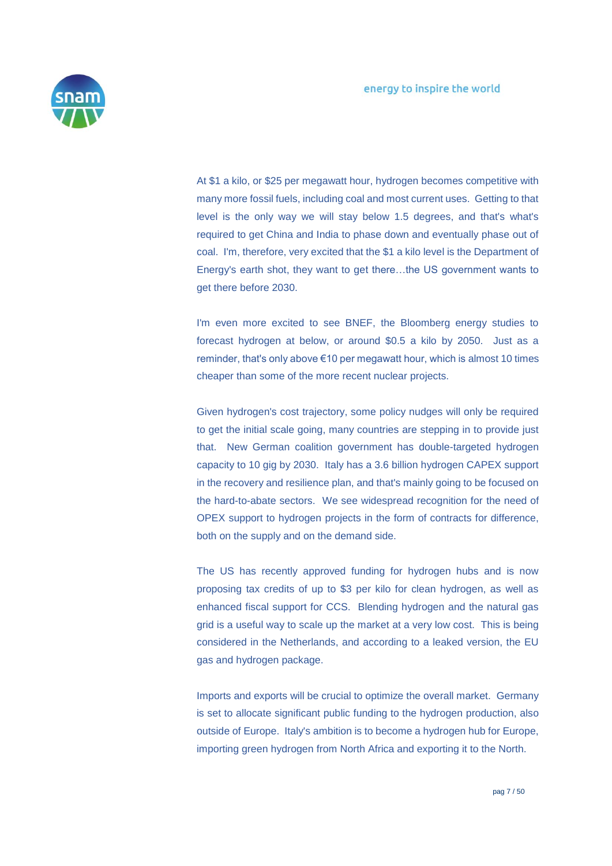

At \$1 a kilo, or \$25 per megawatt hour, hydrogen becomes competitive with many more fossil fuels, including coal and most current uses. Getting to that level is the only way we will stay below 1.5 degrees, and that's what's required to get China and India to phase down and eventually phase out of coal. I'm, therefore, very excited that the \$1 a kilo level is the Department of Energy's earth shot, they want to get there…the US government wants to get there before 2030.

I'm even more excited to see BNEF, the Bloomberg energy studies to forecast hydrogen at below, or around \$0.5 a kilo by 2050. Just as a reminder, that's only above €10 per megawatt hour, which is almost 10 times cheaper than some of the more recent nuclear projects.

Given hydrogen's cost trajectory, some policy nudges will only be required to get the initial scale going, many countries are stepping in to provide just that. New German coalition government has double-targeted hydrogen capacity to 10 gig by 2030. Italy has a 3.6 billion hydrogen CAPEX support in the recovery and resilience plan, and that's mainly going to be focused on the hard-to-abate sectors. We see widespread recognition for the need of OPEX support to hydrogen projects in the form of contracts for difference, both on the supply and on the demand side.

The US has recently approved funding for hydrogen hubs and is now proposing tax credits of up to \$3 per kilo for clean hydrogen, as well as enhanced fiscal support for CCS. Blending hydrogen and the natural gas grid is a useful way to scale up the market at a very low cost. This is being considered in the Netherlands, and according to a leaked version, the EU gas and hydrogen package.

Imports and exports will be crucial to optimize the overall market. Germany is set to allocate significant public funding to the hydrogen production, also outside of Europe. Italy's ambition is to become a hydrogen hub for Europe, importing green hydrogen from North Africa and exporting it to the North.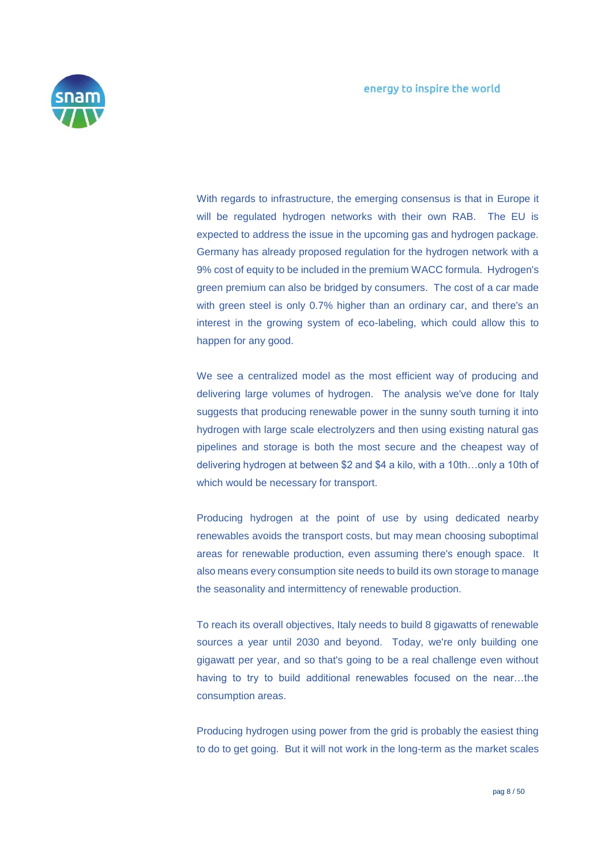

With regards to infrastructure, the emerging consensus is that in Europe it will be regulated hydrogen networks with their own RAB. The EU is expected to address the issue in the upcoming gas and hydrogen package. Germany has already proposed regulation for the hydrogen network with a 9% cost of equity to be included in the premium WACC formula. Hydrogen's green premium can also be bridged by consumers. The cost of a car made with green steel is only 0.7% higher than an ordinary car, and there's an interest in the growing system of eco-labeling, which could allow this to happen for any good.

We see a centralized model as the most efficient way of producing and delivering large volumes of hydrogen. The analysis we've done for Italy suggests that producing renewable power in the sunny south turning it into hydrogen with large scale electrolyzers and then using existing natural gas pipelines and storage is both the most secure and the cheapest way of delivering hydrogen at between \$2 and \$4 a kilo, with a 10th…only a 10th of which would be necessary for transport.

Producing hydrogen at the point of use by using dedicated nearby renewables avoids the transport costs, but may mean choosing suboptimal areas for renewable production, even assuming there's enough space. It also means every consumption site needs to build its own storage to manage the seasonality and intermittency of renewable production.

To reach its overall objectives, Italy needs to build 8 gigawatts of renewable sources a year until 2030 and beyond. Today, we're only building one gigawatt per year, and so that's going to be a real challenge even without having to try to build additional renewables focused on the near…the consumption areas.

Producing hydrogen using power from the grid is probably the easiest thing to do to get going. But it will not work in the long-term as the market scales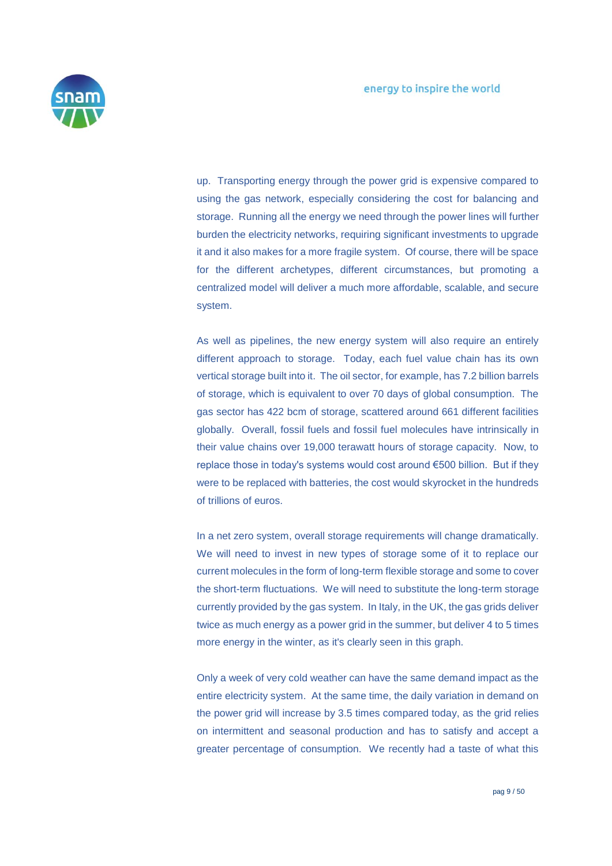

up. Transporting energy through the power grid is expensive compared to using the gas network, especially considering the cost for balancing and storage. Running all the energy we need through the power lines will further burden the electricity networks, requiring significant investments to upgrade it and it also makes for a more fragile system. Of course, there will be space for the different archetypes, different circumstances, but promoting a centralized model will deliver a much more affordable, scalable, and secure system.

As well as pipelines, the new energy system will also require an entirely different approach to storage. Today, each fuel value chain has its own vertical storage built into it. The oil sector, for example, has 7.2 billion barrels of storage, which is equivalent to over 70 days of global consumption. The gas sector has 422 bcm of storage, scattered around 661 different facilities globally. Overall, fossil fuels and fossil fuel molecules have intrinsically in their value chains over 19,000 terawatt hours of storage capacity. Now, to replace those in today's systems would cost around €500 billion. But if they were to be replaced with batteries, the cost would skyrocket in the hundreds of trillions of euros.

In a net zero system, overall storage requirements will change dramatically. We will need to invest in new types of storage some of it to replace our current molecules in the form of long-term flexible storage and some to cover the short-term fluctuations. We will need to substitute the long-term storage currently provided by the gas system. In Italy, in the UK, the gas grids deliver twice as much energy as a power grid in the summer, but deliver 4 to 5 times more energy in the winter, as it's clearly seen in this graph.

Only a week of very cold weather can have the same demand impact as the entire electricity system. At the same time, the daily variation in demand on the power grid will increase by 3.5 times compared today, as the grid relies on intermittent and seasonal production and has to satisfy and accept a greater percentage of consumption. We recently had a taste of what this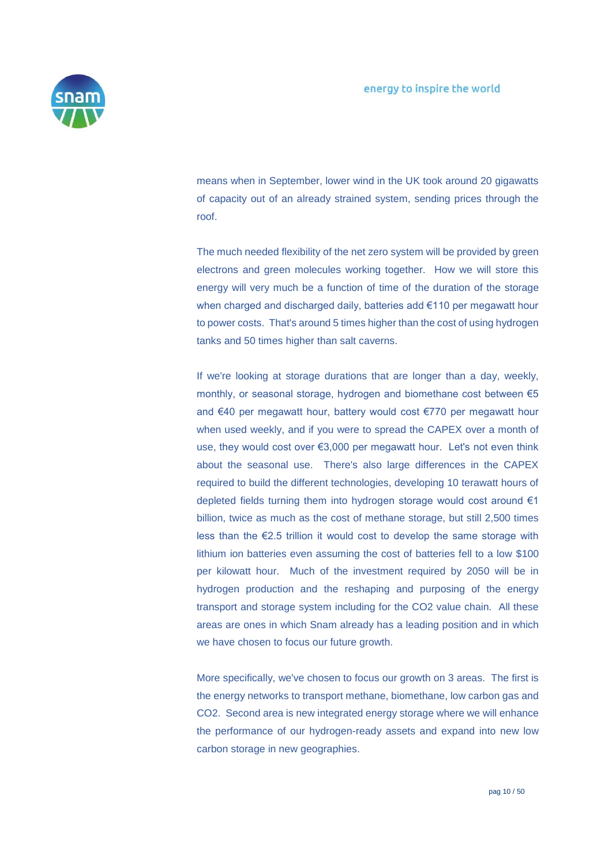

means when in September, lower wind in the UK took around 20 gigawatts of capacity out of an already strained system, sending prices through the roof.

The much needed flexibility of the net zero system will be provided by green electrons and green molecules working together. How we will store this energy will very much be a function of time of the duration of the storage when charged and discharged daily, batteries add €110 per megawatt hour to power costs. That's around 5 times higher than the cost of using hydrogen tanks and 50 times higher than salt caverns.

If we're looking at storage durations that are longer than a day, weekly, monthly, or seasonal storage, hydrogen and biomethane cost between €5 and €40 per megawatt hour, battery would cost €770 per megawatt hour when used weekly, and if you were to spread the CAPEX over a month of use, they would cost over €3,000 per megawatt hour. Let's not even think about the seasonal use. There's also large differences in the CAPEX required to build the different technologies, developing 10 terawatt hours of depleted fields turning them into hydrogen storage would cost around €1 billion, twice as much as the cost of methane storage, but still 2,500 times less than the €2.5 trillion it would cost to develop the same storage with lithium ion batteries even assuming the cost of batteries fell to a low \$100 per kilowatt hour. Much of the investment required by 2050 will be in hydrogen production and the reshaping and purposing of the energy transport and storage system including for the CO2 value chain. All these areas are ones in which Snam already has a leading position and in which we have chosen to focus our future growth.

More specifically, we've chosen to focus our growth on 3 areas. The first is the energy networks to transport methane, biomethane, low carbon gas and CO2. Second area is new integrated energy storage where we will enhance the performance of our hydrogen-ready assets and expand into new low carbon storage in new geographies.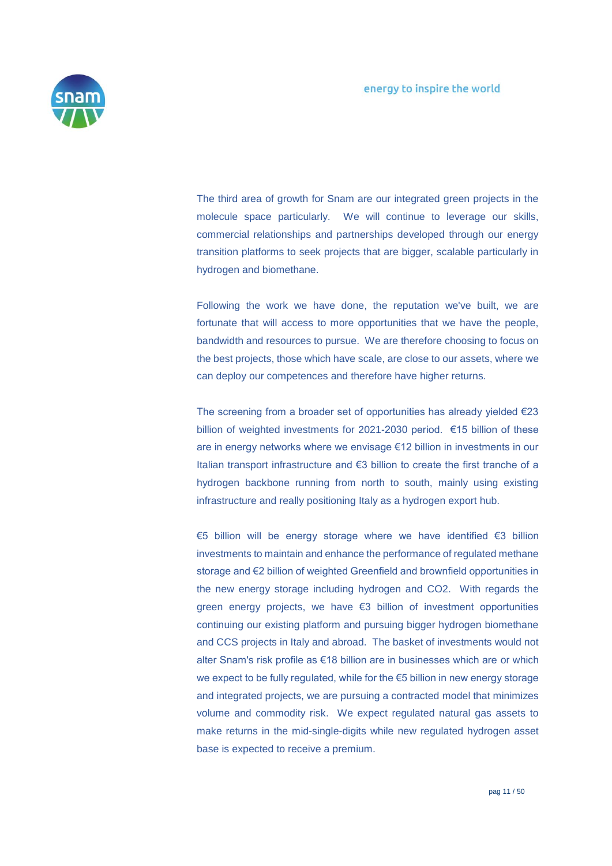

The third area of growth for Snam are our integrated green projects in the molecule space particularly. We will continue to leverage our skills, commercial relationships and partnerships developed through our energy transition platforms to seek projects that are bigger, scalable particularly in hydrogen and biomethane.

Following the work we have done, the reputation we've built, we are fortunate that will access to more opportunities that we have the people, bandwidth and resources to pursue. We are therefore choosing to focus on the best projects, those which have scale, are close to our assets, where we can deploy our competences and therefore have higher returns.

The screening from a broader set of opportunities has already yielded €23 billion of weighted investments for 2021-2030 period. €15 billion of these are in energy networks where we envisage €12 billion in investments in our Italian transport infrastructure and €3 billion to create the first tranche of a hydrogen backbone running from north to south, mainly using existing infrastructure and really positioning Italy as a hydrogen export hub.

€5 billion will be energy storage where we have identified €3 billion investments to maintain and enhance the performance of regulated methane storage and €2 billion of weighted Greenfield and brownfield opportunities in the new energy storage including hydrogen and CO2. With regards the green energy projects, we have €3 billion of investment opportunities continuing our existing platform and pursuing bigger hydrogen biomethane and CCS projects in Italy and abroad. The basket of investments would not alter Snam's risk profile as €18 billion are in businesses which are or which we expect to be fully regulated, while for the €5 billion in new energy storage and integrated projects, we are pursuing a contracted model that minimizes volume and commodity risk. We expect regulated natural gas assets to make returns in the mid-single-digits while new regulated hydrogen asset base is expected to receive a premium.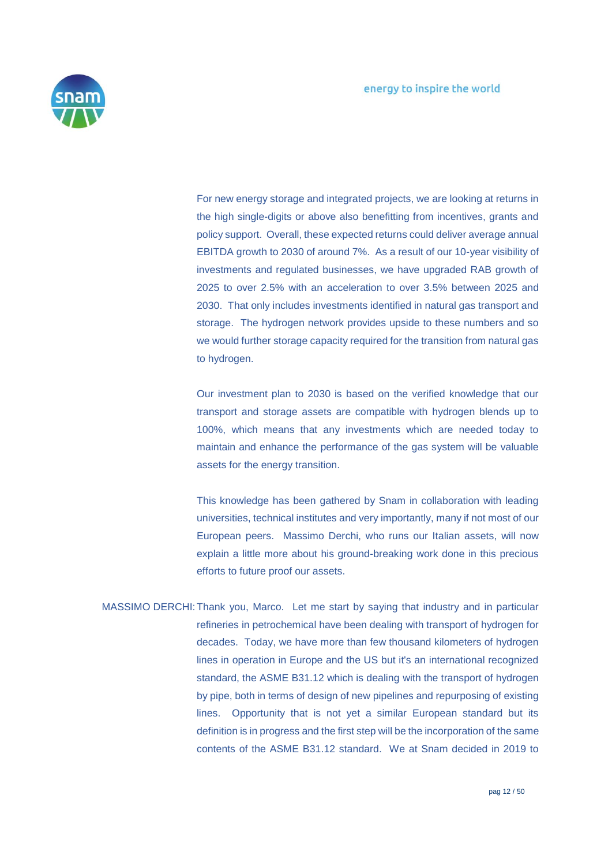

For new energy storage and integrated projects, we are looking at returns in the high single-digits or above also benefitting from incentives, grants and policy support. Overall, these expected returns could deliver average annual EBITDA growth to 2030 of around 7%. As a result of our 10-year visibility of investments and regulated businesses, we have upgraded RAB growth of 2025 to over 2.5% with an acceleration to over 3.5% between 2025 and 2030. That only includes investments identified in natural gas transport and storage. The hydrogen network provides upside to these numbers and so we would further storage capacity required for the transition from natural gas to hydrogen.

Our investment plan to 2030 is based on the verified knowledge that our transport and storage assets are compatible with hydrogen blends up to 100%, which means that any investments which are needed today to maintain and enhance the performance of the gas system will be valuable assets for the energy transition.

This knowledge has been gathered by Snam in collaboration with leading universities, technical institutes and very importantly, many if not most of our European peers. Massimo Derchi, who runs our Italian assets, will now explain a little more about his ground-breaking work done in this precious efforts to future proof our assets.

MASSIMO DERCHI:Thank you, Marco. Let me start by saying that industry and in particular refineries in petrochemical have been dealing with transport of hydrogen for decades. Today, we have more than few thousand kilometers of hydrogen lines in operation in Europe and the US but it's an international recognized standard, the ASME B31.12 which is dealing with the transport of hydrogen by pipe, both in terms of design of new pipelines and repurposing of existing lines. Opportunity that is not yet a similar European standard but its definition is in progress and the first step will be the incorporation of the same contents of the ASME B31.12 standard. We at Snam decided in 2019 to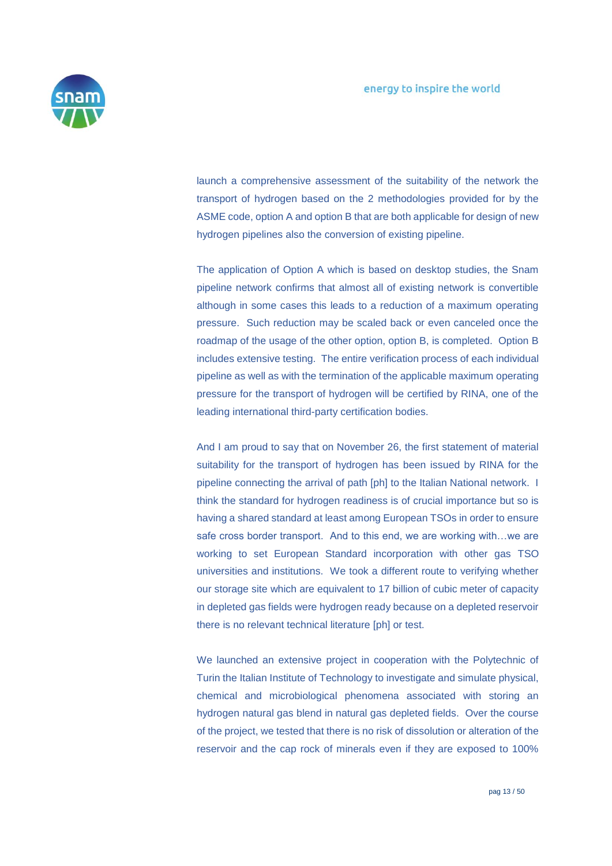

launch a comprehensive assessment of the suitability of the network the transport of hydrogen based on the 2 methodologies provided for by the ASME code, option A and option B that are both applicable for design of new hydrogen pipelines also the conversion of existing pipeline.

The application of Option A which is based on desktop studies, the Snam pipeline network confirms that almost all of existing network is convertible although in some cases this leads to a reduction of a maximum operating pressure. Such reduction may be scaled back or even canceled once the roadmap of the usage of the other option, option B, is completed. Option B includes extensive testing. The entire verification process of each individual pipeline as well as with the termination of the applicable maximum operating pressure for the transport of hydrogen will be certified by RINA, one of the leading international third-party certification bodies.

And I am proud to say that on November 26, the first statement of material suitability for the transport of hydrogen has been issued by RINA for the pipeline connecting the arrival of path [ph] to the Italian National network. I think the standard for hydrogen readiness is of crucial importance but so is having a shared standard at least among European TSOs in order to ensure safe cross border transport. And to this end, we are working with...we are working to set European Standard incorporation with other gas TSO universities and institutions. We took a different route to verifying whether our storage site which are equivalent to 17 billion of cubic meter of capacity in depleted gas fields were hydrogen ready because on a depleted reservoir there is no relevant technical literature [ph] or test.

We launched an extensive project in cooperation with the Polytechnic of Turin the Italian Institute of Technology to investigate and simulate physical, chemical and microbiological phenomena associated with storing an hydrogen natural gas blend in natural gas depleted fields. Over the course of the project, we tested that there is no risk of dissolution or alteration of the reservoir and the cap rock of minerals even if they are exposed to 100%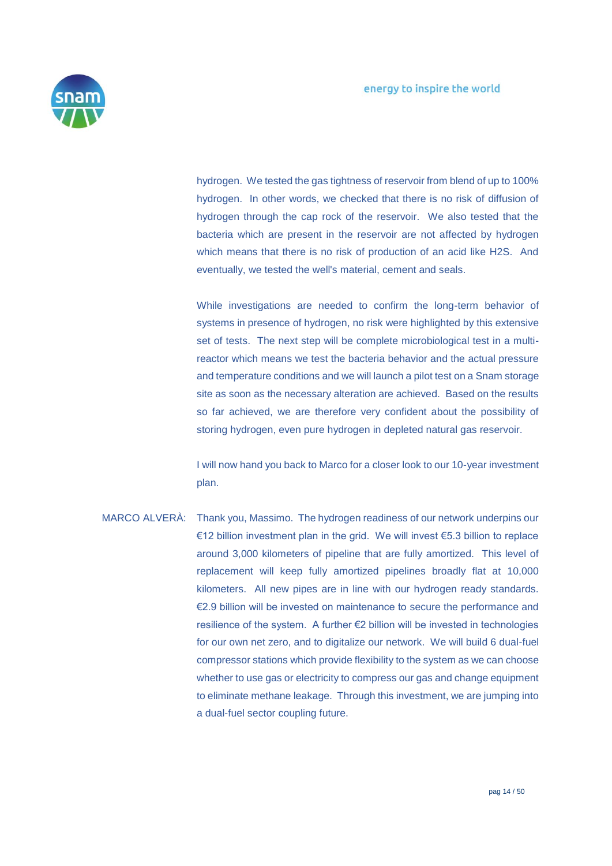

hydrogen. We tested the gas tightness of reservoir from blend of up to 100% hydrogen. In other words, we checked that there is no risk of diffusion of hydrogen through the cap rock of the reservoir. We also tested that the bacteria which are present in the reservoir are not affected by hydrogen which means that there is no risk of production of an acid like H2S. And eventually, we tested the well's material, cement and seals.

While investigations are needed to confirm the long-term behavior of systems in presence of hydrogen, no risk were highlighted by this extensive set of tests. The next step will be complete microbiological test in a multireactor which means we test the bacteria behavior and the actual pressure and temperature conditions and we will launch a pilot test on a Snam storage site as soon as the necessary alteration are achieved. Based on the results so far achieved, we are therefore very confident about the possibility of storing hydrogen, even pure hydrogen in depleted natural gas reservoir.

I will now hand you back to Marco for a closer look to our 10-year investment plan.

MARCO ALVERÀ: Thank you, Massimo. The hydrogen readiness of our network underpins our €12 billion investment plan in the grid. We will invest €5.3 billion to replace around 3,000 kilometers of pipeline that are fully amortized. This level of replacement will keep fully amortized pipelines broadly flat at 10,000 kilometers. All new pipes are in line with our hydrogen ready standards. €2.9 billion will be invested on maintenance to secure the performance and resilience of the system. A further €2 billion will be invested in technologies for our own net zero, and to digitalize our network. We will build 6 dual-fuel compressor stations which provide flexibility to the system as we can choose whether to use gas or electricity to compress our gas and change equipment to eliminate methane leakage. Through this investment, we are jumping into a dual-fuel sector coupling future.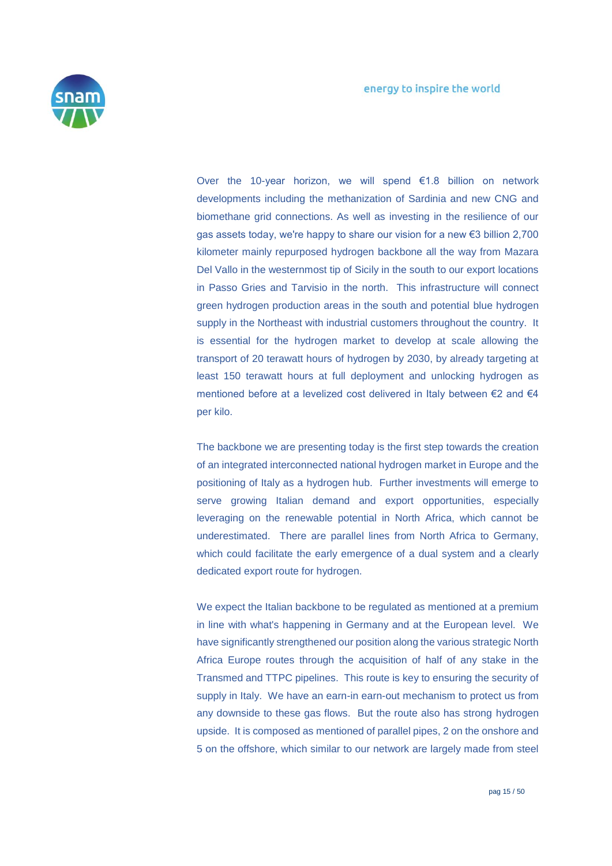

Over the 10-year horizon, we will spend €1.8 billion on network developments including the methanization of Sardinia and new CNG and biomethane grid connections. As well as investing in the resilience of our gas assets today, we're happy to share our vision for a new €3 billion 2,700 kilometer mainly repurposed hydrogen backbone all the way from Mazara Del Vallo in the westernmost tip of Sicily in the south to our export locations in Passo Gries and Tarvisio in the north. This infrastructure will connect green hydrogen production areas in the south and potential blue hydrogen supply in the Northeast with industrial customers throughout the country. It is essential for the hydrogen market to develop at scale allowing the transport of 20 terawatt hours of hydrogen by 2030, by already targeting at least 150 terawatt hours at full deployment and unlocking hydrogen as mentioned before at a levelized cost delivered in Italy between €2 and €4 per kilo.

The backbone we are presenting today is the first step towards the creation of an integrated interconnected national hydrogen market in Europe and the positioning of Italy as a hydrogen hub. Further investments will emerge to serve growing Italian demand and export opportunities, especially leveraging on the renewable potential in North Africa, which cannot be underestimated. There are parallel lines from North Africa to Germany, which could facilitate the early emergence of a dual system and a clearly dedicated export route for hydrogen.

We expect the Italian backbone to be regulated as mentioned at a premium in line with what's happening in Germany and at the European level. We have significantly strengthened our position along the various strategic North Africa Europe routes through the acquisition of half of any stake in the Transmed and TTPC pipelines. This route is key to ensuring the security of supply in Italy. We have an earn-in earn-out mechanism to protect us from any downside to these gas flows. But the route also has strong hydrogen upside. It is composed as mentioned of parallel pipes, 2 on the onshore and 5 on the offshore, which similar to our network are largely made from steel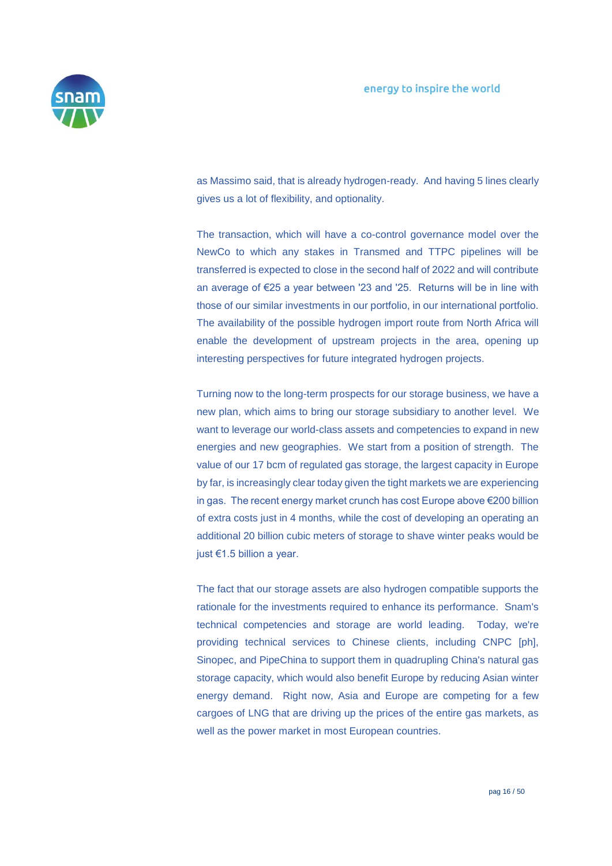

as Massimo said, that is already hydrogen-ready. And having 5 lines clearly gives us a lot of flexibility, and optionality.

The transaction, which will have a co-control governance model over the NewCo to which any stakes in Transmed and TTPC pipelines will be transferred is expected to close in the second half of 2022 and will contribute an average of €25 a year between '23 and '25. Returns will be in line with those of our similar investments in our portfolio, in our international portfolio. The availability of the possible hydrogen import route from North Africa will enable the development of upstream projects in the area, opening up interesting perspectives for future integrated hydrogen projects.

Turning now to the long-term prospects for our storage business, we have a new plan, which aims to bring our storage subsidiary to another level. We want to leverage our world-class assets and competencies to expand in new energies and new geographies. We start from a position of strength. The value of our 17 bcm of regulated gas storage, the largest capacity in Europe by far, is increasingly clear today given the tight markets we are experiencing in gas. The recent energy market crunch has cost Europe above €200 billion of extra costs just in 4 months, while the cost of developing an operating an additional 20 billion cubic meters of storage to shave winter peaks would be just €1.5 billion a year.

The fact that our storage assets are also hydrogen compatible supports the rationale for the investments required to enhance its performance. Snam's technical competencies and storage are world leading. Today, we're providing technical services to Chinese clients, including CNPC [ph], Sinopec, and PipeChina to support them in quadrupling China's natural gas storage capacity, which would also benefit Europe by reducing Asian winter energy demand. Right now, Asia and Europe are competing for a few cargoes of LNG that are driving up the prices of the entire gas markets, as well as the power market in most European countries.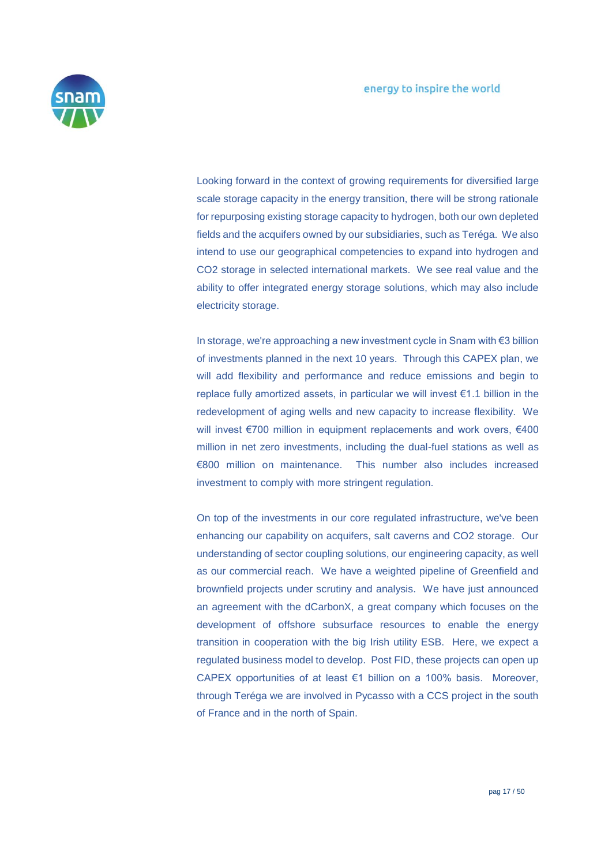

Looking forward in the context of growing requirements for diversified large scale storage capacity in the energy transition, there will be strong rationale for repurposing existing storage capacity to hydrogen, both our own depleted fields and the acquifers owned by our subsidiaries, such as Teréga. We also intend to use our geographical competencies to expand into hydrogen and CO2 storage in selected international markets. We see real value and the ability to offer integrated energy storage solutions, which may also include electricity storage.

In storage, we're approaching a new investment cycle in Snam with €3 billion of investments planned in the next 10 years. Through this CAPEX plan, we will add flexibility and performance and reduce emissions and begin to replace fully amortized assets, in particular we will invest €1.1 billion in the redevelopment of aging wells and new capacity to increase flexibility. We will invest €700 million in equipment replacements and work overs, €400 million in net zero investments, including the dual-fuel stations as well as €800 million on maintenance. This number also includes increased investment to comply with more stringent regulation.

On top of the investments in our core regulated infrastructure, we've been enhancing our capability on acquifers, salt caverns and CO2 storage. Our understanding of sector coupling solutions, our engineering capacity, as well as our commercial reach. We have a weighted pipeline of Greenfield and brownfield projects under scrutiny and analysis. We have just announced an agreement with the dCarbonX, a great company which focuses on the development of offshore subsurface resources to enable the energy transition in cooperation with the big Irish utility ESB. Here, we expect a regulated business model to develop. Post FID, these projects can open up CAPEX opportunities of at least €1 billion on a 100% basis. Moreover, through Teréga we are involved in Pycasso with a CCS project in the south of France and in the north of Spain.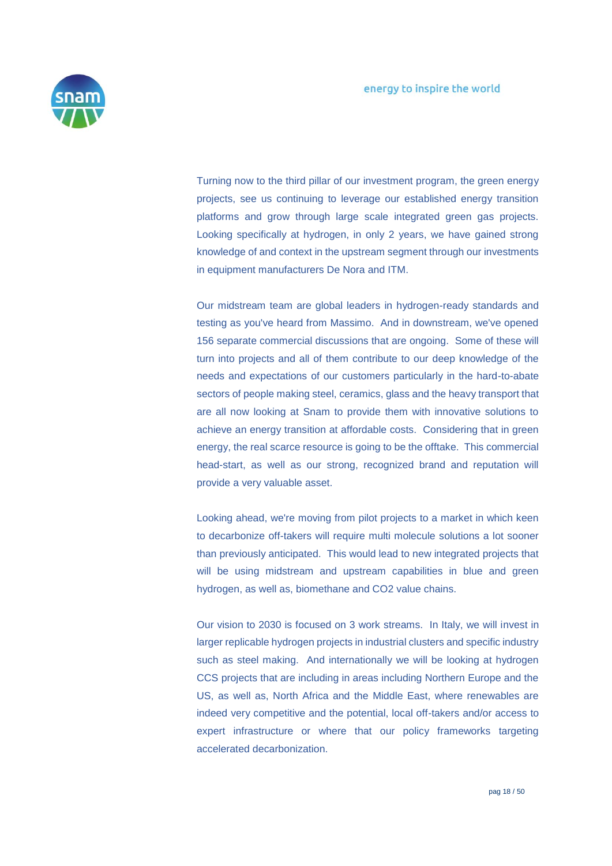

Turning now to the third pillar of our investment program, the green energy projects, see us continuing to leverage our established energy transition platforms and grow through large scale integrated green gas projects. Looking specifically at hydrogen, in only 2 years, we have gained strong knowledge of and context in the upstream segment through our investments in equipment manufacturers De Nora and ITM.

Our midstream team are global leaders in hydrogen-ready standards and testing as you've heard from Massimo. And in downstream, we've opened 156 separate commercial discussions that are ongoing. Some of these will turn into projects and all of them contribute to our deep knowledge of the needs and expectations of our customers particularly in the hard-to-abate sectors of people making steel, ceramics, glass and the heavy transport that are all now looking at Snam to provide them with innovative solutions to achieve an energy transition at affordable costs. Considering that in green energy, the real scarce resource is going to be the offtake. This commercial head-start, as well as our strong, recognized brand and reputation will provide a very valuable asset.

Looking ahead, we're moving from pilot projects to a market in which keen to decarbonize off-takers will require multi molecule solutions a lot sooner than previously anticipated. This would lead to new integrated projects that will be using midstream and upstream capabilities in blue and green hydrogen, as well as, biomethane and CO2 value chains.

Our vision to 2030 is focused on 3 work streams. In Italy, we will invest in larger replicable hydrogen projects in industrial clusters and specific industry such as steel making. And internationally we will be looking at hydrogen CCS projects that are including in areas including Northern Europe and the US, as well as, North Africa and the Middle East, where renewables are indeed very competitive and the potential, local off-takers and/or access to expert infrastructure or where that our policy frameworks targeting accelerated decarbonization.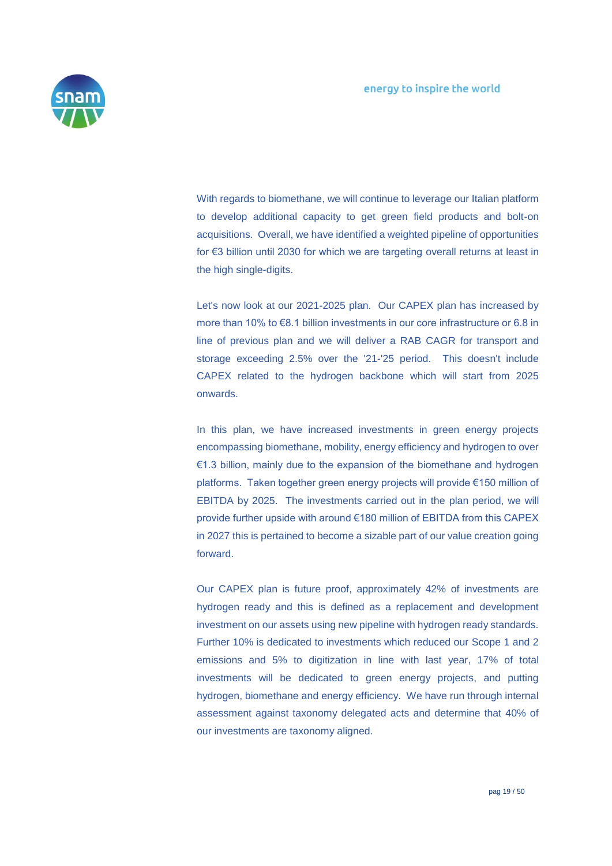

With regards to biomethane, we will continue to leverage our Italian platform to develop additional capacity to get green field products and bolt-on acquisitions. Overall, we have identified a weighted pipeline of opportunities for €3 billion until 2030 for which we are targeting overall returns at least in the high single-digits.

Let's now look at our 2021-2025 plan. Our CAPEX plan has increased by more than 10% to €8.1 billion investments in our core infrastructure or 6.8 in line of previous plan and we will deliver a RAB CAGR for transport and storage exceeding 2.5% over the '21-'25 period. This doesn't include CAPEX related to the hydrogen backbone which will start from 2025 onwards.

In this plan, we have increased investments in green energy projects encompassing biomethane, mobility, energy efficiency and hydrogen to over €1.3 billion, mainly due to the expansion of the biomethane and hydrogen platforms. Taken together green energy projects will provide €150 million of EBITDA by 2025. The investments carried out in the plan period, we will provide further upside with around €180 million of EBITDA from this CAPEX in 2027 this is pertained to become a sizable part of our value creation going forward.

Our CAPEX plan is future proof, approximately 42% of investments are hydrogen ready and this is defined as a replacement and development investment on our assets using new pipeline with hydrogen ready standards. Further 10% is dedicated to investments which reduced our Scope 1 and 2 emissions and 5% to digitization in line with last year, 17% of total investments will be dedicated to green energy projects, and putting hydrogen, biomethane and energy efficiency. We have run through internal assessment against taxonomy delegated acts and determine that 40% of our investments are taxonomy aligned.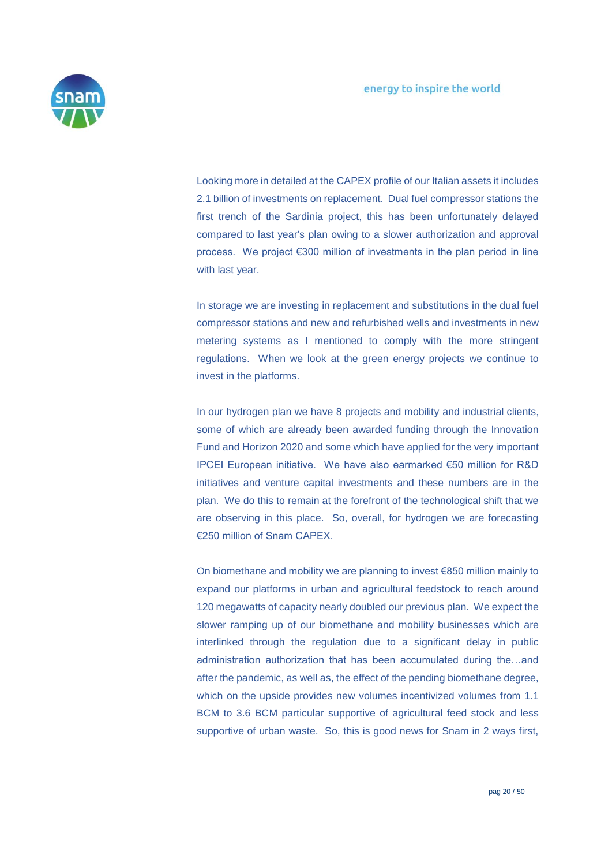

Looking more in detailed at the CAPEX profile of our Italian assets it includes 2.1 billion of investments on replacement. Dual fuel compressor stations the first trench of the Sardinia project, this has been unfortunately delayed compared to last year's plan owing to a slower authorization and approval process. We project €300 million of investments in the plan period in line with last year.

In storage we are investing in replacement and substitutions in the dual fuel compressor stations and new and refurbished wells and investments in new metering systems as I mentioned to comply with the more stringent regulations. When we look at the green energy projects we continue to invest in the platforms.

In our hydrogen plan we have 8 projects and mobility and industrial clients, some of which are already been awarded funding through the Innovation Fund and Horizon 2020 and some which have applied for the very important IPCEI European initiative. We have also earmarked €50 million for R&D initiatives and venture capital investments and these numbers are in the plan. We do this to remain at the forefront of the technological shift that we are observing in this place. So, overall, for hydrogen we are forecasting €250 million of Snam CAPEX.

On biomethane and mobility we are planning to invest €850 million mainly to expand our platforms in urban and agricultural feedstock to reach around 120 megawatts of capacity nearly doubled our previous plan. We expect the slower ramping up of our biomethane and mobility businesses which are interlinked through the regulation due to a significant delay in public administration authorization that has been accumulated during the…and after the pandemic, as well as, the effect of the pending biomethane degree, which on the upside provides new volumes incentivized volumes from 1.1 BCM to 3.6 BCM particular supportive of agricultural feed stock and less supportive of urban waste. So, this is good news for Snam in 2 ways first,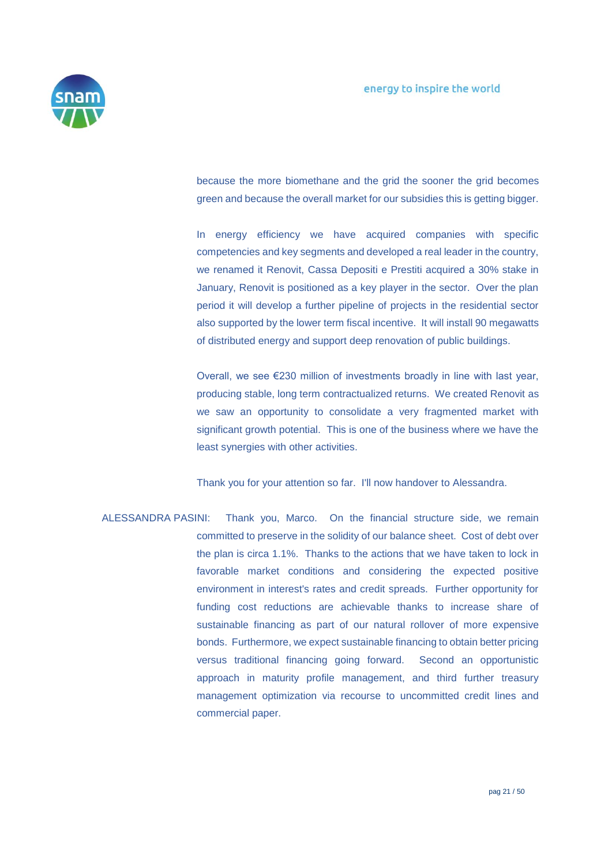

because the more biomethane and the grid the sooner the grid becomes green and because the overall market for our subsidies this is getting bigger.

In energy efficiency we have acquired companies with specific competencies and key segments and developed a real leader in the country, we renamed it Renovit, Cassa Depositi e Prestiti acquired a 30% stake in January, Renovit is positioned as a key player in the sector. Over the plan period it will develop a further pipeline of projects in the residential sector also supported by the lower term fiscal incentive. It will install 90 megawatts of distributed energy and support deep renovation of public buildings.

Overall, we see €230 million of investments broadly in line with last year, producing stable, long term contractualized returns. We created Renovit as we saw an opportunity to consolidate a very fragmented market with significant growth potential. This is one of the business where we have the least synergies with other activities.

Thank you for your attention so far. I'll now handover to Alessandra.

ALESSANDRA PASINI: Thank you, Marco. On the financial structure side, we remain committed to preserve in the solidity of our balance sheet. Cost of debt over the plan is circa 1.1%. Thanks to the actions that we have taken to lock in favorable market conditions and considering the expected positive environment in interest's rates and credit spreads. Further opportunity for funding cost reductions are achievable thanks to increase share of sustainable financing as part of our natural rollover of more expensive bonds. Furthermore, we expect sustainable financing to obtain better pricing versus traditional financing going forward. Second an opportunistic approach in maturity profile management, and third further treasury management optimization via recourse to uncommitted credit lines and commercial paper.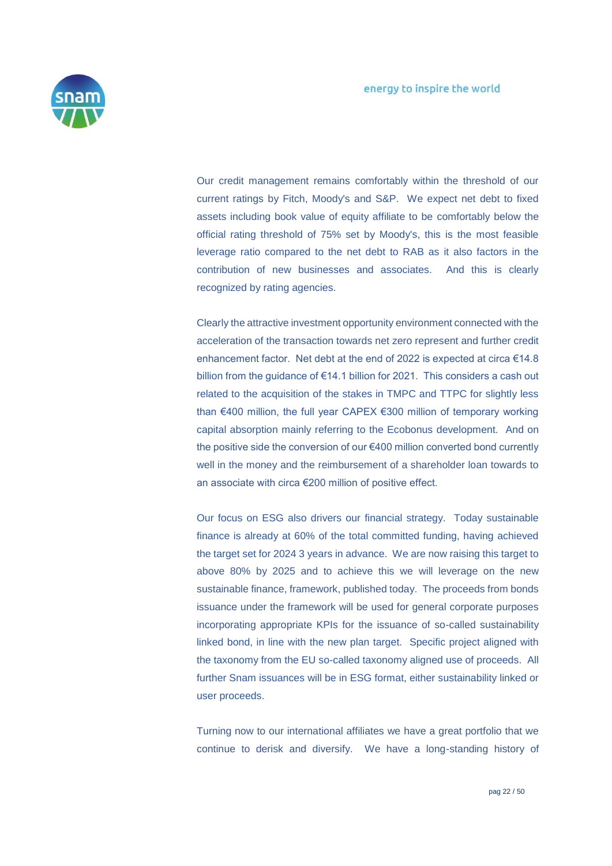

Our credit management remains comfortably within the threshold of our current ratings by Fitch, Moody's and S&P. We expect net debt to fixed assets including book value of equity affiliate to be comfortably below the official rating threshold of 75% set by Moody's, this is the most feasible leverage ratio compared to the net debt to RAB as it also factors in the contribution of new businesses and associates. And this is clearly recognized by rating agencies.

Clearly the attractive investment opportunity environment connected with the acceleration of the transaction towards net zero represent and further credit enhancement factor. Net debt at the end of 2022 is expected at circa €14.8 billion from the guidance of €14.1 billion for 2021. This considers a cash out related to the acquisition of the stakes in TMPC and TTPC for slightly less than €400 million, the full year CAPEX €300 million of temporary working capital absorption mainly referring to the Ecobonus development. And on the positive side the conversion of our €400 million converted bond currently well in the money and the reimbursement of a shareholder loan towards to an associate with circa €200 million of positive effect.

Our focus on ESG also drivers our financial strategy. Today sustainable finance is already at 60% of the total committed funding, having achieved the target set for 2024 3 years in advance. We are now raising this target to above 80% by 2025 and to achieve this we will leverage on the new sustainable finance, framework, published today. The proceeds from bonds issuance under the framework will be used for general corporate purposes incorporating appropriate KPIs for the issuance of so-called sustainability linked bond, in line with the new plan target. Specific project aligned with the taxonomy from the EU so-called taxonomy aligned use of proceeds. All further Snam issuances will be in ESG format, either sustainability linked or user proceeds.

Turning now to our international affiliates we have a great portfolio that we continue to derisk and diversify. We have a long-standing history of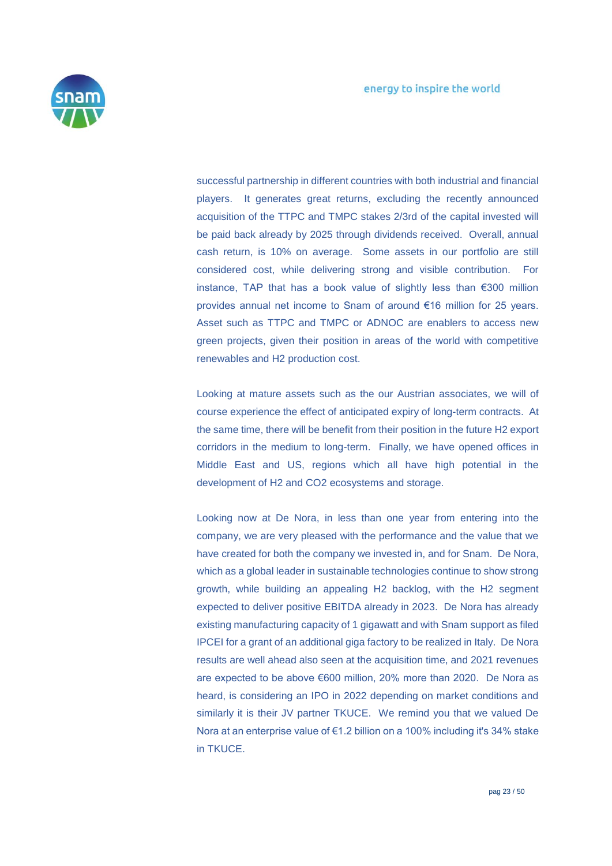

successful partnership in different countries with both industrial and financial players. It generates great returns, excluding the recently announced acquisition of the TTPC and TMPC stakes 2/3rd of the capital invested will be paid back already by 2025 through dividends received. Overall, annual cash return, is 10% on average. Some assets in our portfolio are still considered cost, while delivering strong and visible contribution. For instance, TAP that has a book value of slightly less than €300 million provides annual net income to Snam of around €16 million for 25 years. Asset such as TTPC and TMPC or ADNOC are enablers to access new green projects, given their position in areas of the world with competitive renewables and H2 production cost.

Looking at mature assets such as the our Austrian associates, we will of course experience the effect of anticipated expiry of long-term contracts. At the same time, there will be benefit from their position in the future H2 export corridors in the medium to long-term. Finally, we have opened offices in Middle East and US, regions which all have high potential in the development of H2 and CO2 ecosystems and storage.

Looking now at De Nora, in less than one year from entering into the company, we are very pleased with the performance and the value that we have created for both the company we invested in, and for Snam. De Nora, which as a global leader in sustainable technologies continue to show strong growth, while building an appealing H2 backlog, with the H2 segment expected to deliver positive EBITDA already in 2023. De Nora has already existing manufacturing capacity of 1 gigawatt and with Snam support as filed IPCEI for a grant of an additional giga factory to be realized in Italy. De Nora results are well ahead also seen at the acquisition time, and 2021 revenues are expected to be above €600 million, 20% more than 2020. De Nora as heard, is considering an IPO in 2022 depending on market conditions and similarly it is their JV partner TKUCE. We remind you that we valued De Nora at an enterprise value of €1.2 billion on a 100% including it's 34% stake in TKUCE.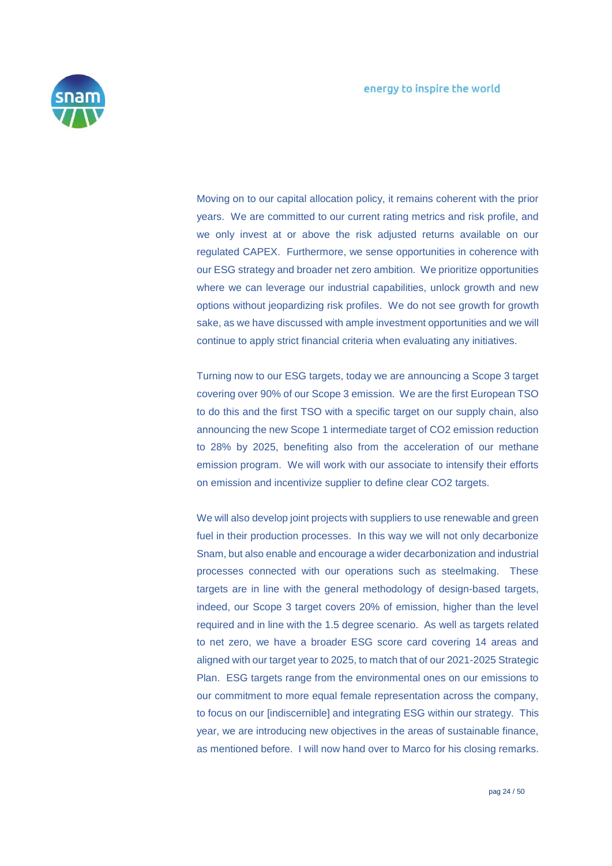

Moving on to our capital allocation policy, it remains coherent with the prior years. We are committed to our current rating metrics and risk profile, and we only invest at or above the risk adjusted returns available on our regulated CAPEX. Furthermore, we sense opportunities in coherence with our ESG strategy and broader net zero ambition. We prioritize opportunities where we can leverage our industrial capabilities, unlock growth and new options without jeopardizing risk profiles. We do not see growth for growth sake, as we have discussed with ample investment opportunities and we will continue to apply strict financial criteria when evaluating any initiatives.

Turning now to our ESG targets, today we are announcing a Scope 3 target covering over 90% of our Scope 3 emission. We are the first European TSO to do this and the first TSO with a specific target on our supply chain, also announcing the new Scope 1 intermediate target of CO2 emission reduction to 28% by 2025, benefiting also from the acceleration of our methane emission program. We will work with our associate to intensify their efforts on emission and incentivize supplier to define clear CO2 targets.

We will also develop joint projects with suppliers to use renewable and green fuel in their production processes. In this way we will not only decarbonize Snam, but also enable and encourage a wider decarbonization and industrial processes connected with our operations such as steelmaking. These targets are in line with the general methodology of design-based targets, indeed, our Scope 3 target covers 20% of emission, higher than the level required and in line with the 1.5 degree scenario. As well as targets related to net zero, we have a broader ESG score card covering 14 areas and aligned with our target year to 2025, to match that of our 2021-2025 Strategic Plan. ESG targets range from the environmental ones on our emissions to our commitment to more equal female representation across the company, to focus on our [indiscernible] and integrating ESG within our strategy. This year, we are introducing new objectives in the areas of sustainable finance, as mentioned before. I will now hand over to Marco for his closing remarks.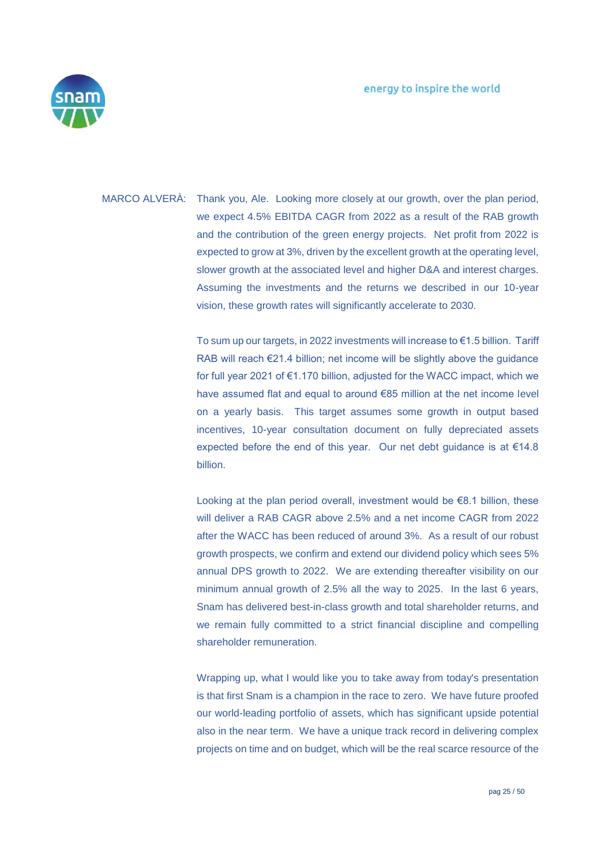

MARCO ALVERÀ: Thank you, Ale. Looking more closely at our growth, over the plan period, we expect 4.5% EBITDA CAGR from 2022 as a result of the RAB growth and the contribution of the green energy projects. Net profit from 2022 is expected to grow at 3%, driven by the excellent growth at the operating level, slower growth at the associated level and higher D&A and interest charges. Assuming the investments and the returns we described in our 10-year vision, these growth rates will significantly accelerate to 2030.

> To sum up our targets, in 2022 investments will increase to €1.5 billion. Tariff RAB will reach €21.4 billion; net income will be slightly above the guidance for full year 2021 of €1.170 billion, adjusted for the WACC impact, which we have assumed flat and equal to around €85 million at the net income level on a yearly basis. This target assumes some growth in output based incentives, 10-year consultation document on fully depreciated assets expected before the end of this year. Our net debt guidance is at €14.8 billion.

> Looking at the plan period overall, investment would be €8.1 billion, these will deliver a RAB CAGR above 2.5% and a net income CAGR from 2022 after the WACC has been reduced of around 3%. As a result of our robust growth prospects, we confirm and extend our dividend policy which sees 5% annual DPS growth to 2022. We are extending thereafter visibility on our minimum annual growth of 2.5% all the way to 2025. In the last 6 years, Snam has delivered best-in-class growth and total shareholder returns, and we remain fully committed to a strict financial discipline and compelling shareholder remuneration.

> Wrapping up, what I would like you to take away from today's presentation is that first Snam is a champion in the race to zero. We have future proofed our world-leading portfolio of assets, which has significant upside potential also in the near term. We have a unique track record in delivering complex projects on time and on budget, which will be the real scarce resource of the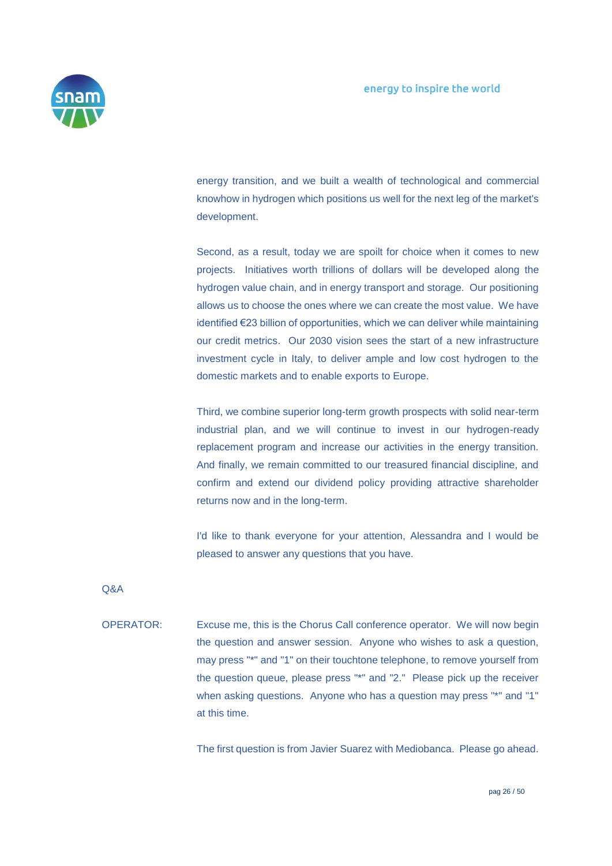

energy transition, and we built a wealth of technological and commercial knowhow in hydrogen which positions us well for the next leg of the market's development.

Second, as a result, today we are spoilt for choice when it comes to new projects. Initiatives worth trillions of dollars will be developed along the hydrogen value chain, and in energy transport and storage. Our positioning allows us to choose the ones where we can create the most value. We have identified €23 billion of opportunities, which we can deliver while maintaining our credit metrics. Our 2030 vision sees the start of a new infrastructure investment cycle in Italy, to deliver ample and low cost hydrogen to the domestic markets and to enable exports to Europe.

Third, we combine superior long-term growth prospects with solid near-term industrial plan, and we will continue to invest in our hydrogen-ready replacement program and increase our activities in the energy transition. And finally, we remain committed to our treasured financial discipline, and confirm and extend our dividend policy providing attractive shareholder returns now and in the long-term.

I'd like to thank everyone for your attention, Alessandra and I would be pleased to answer any questions that you have.

Q&A

OPERATOR: Excuse me, this is the Chorus Call conference operator. We will now begin the question and answer session. Anyone who wishes to ask a question, may press "\*" and "1" on their touchtone telephone, to remove yourself from the question queue, please press "\*" and "2." Please pick up the receiver when asking questions. Anyone who has a question may press "\*" and "1" at this time.

The first question is from Javier Suarez with Mediobanca. Please go ahead.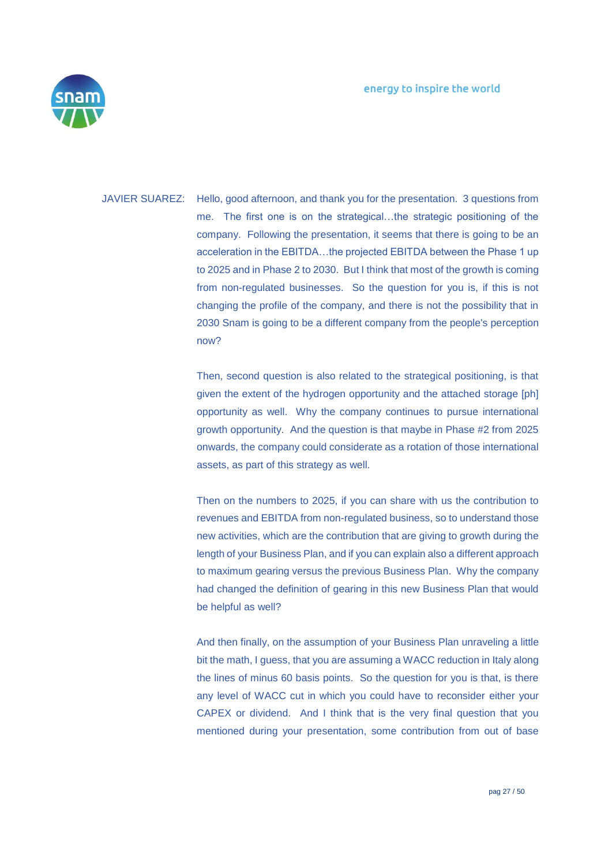

JAVIER SUAREZ: Hello, good afternoon, and thank you for the presentation. 3 questions from me. The first one is on the strategical…the strategic positioning of the company. Following the presentation, it seems that there is going to be an acceleration in the EBITDA…the projected EBITDA between the Phase 1 up to 2025 and in Phase 2 to 2030. But I think that most of the growth is coming from non-regulated businesses. So the question for you is, if this is not changing the profile of the company, and there is not the possibility that in 2030 Snam is going to be a different company from the people's perception now?

> Then, second question is also related to the strategical positioning, is that given the extent of the hydrogen opportunity and the attached storage [ph] opportunity as well. Why the company continues to pursue international growth opportunity. And the question is that maybe in Phase #2 from 2025 onwards, the company could considerate as a rotation of those international assets, as part of this strategy as well.

> Then on the numbers to 2025, if you can share with us the contribution to revenues and EBITDA from non-regulated business, so to understand those new activities, which are the contribution that are giving to growth during the length of your Business Plan, and if you can explain also a different approach to maximum gearing versus the previous Business Plan. Why the company had changed the definition of gearing in this new Business Plan that would be helpful as well?

> And then finally, on the assumption of your Business Plan unraveling a little bit the math, I guess, that you are assuming a WACC reduction in Italy along the lines of minus 60 basis points. So the question for you is that, is there any level of WACC cut in which you could have to reconsider either your CAPEX or dividend. And I think that is the very final question that you mentioned during your presentation, some contribution from out of base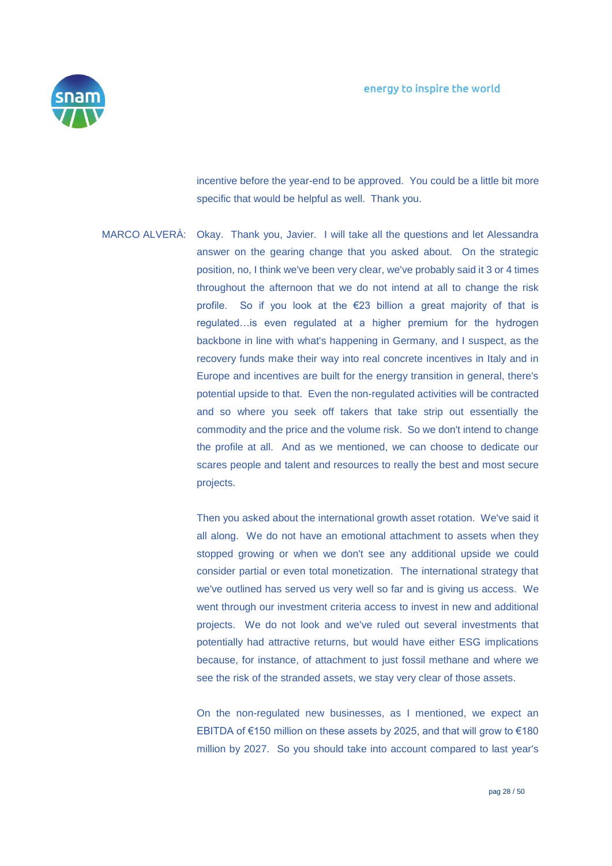

incentive before the year-end to be approved. You could be a little bit more specific that would be helpful as well. Thank you.

MARCO ALVERÀ: Okay. Thank you, Javier. I will take all the questions and let Alessandra answer on the gearing change that you asked about. On the strategic position, no, I think we've been very clear, we've probably said it 3 or 4 times throughout the afternoon that we do not intend at all to change the risk profile. So if you look at the €23 billion a great majority of that is regulated…is even regulated at a higher premium for the hydrogen backbone in line with what's happening in Germany, and I suspect, as the recovery funds make their way into real concrete incentives in Italy and in Europe and incentives are built for the energy transition in general, there's potential upside to that. Even the non-regulated activities will be contracted and so where you seek off takers that take strip out essentially the commodity and the price and the volume risk. So we don't intend to change the profile at all. And as we mentioned, we can choose to dedicate our scares people and talent and resources to really the best and most secure projects.

> Then you asked about the international growth asset rotation. We've said it all along. We do not have an emotional attachment to assets when they stopped growing or when we don't see any additional upside we could consider partial or even total monetization. The international strategy that we've outlined has served us very well so far and is giving us access. We went through our investment criteria access to invest in new and additional projects. We do not look and we've ruled out several investments that potentially had attractive returns, but would have either ESG implications because, for instance, of attachment to just fossil methane and where we see the risk of the stranded assets, we stay very clear of those assets.

> On the non-regulated new businesses, as I mentioned, we expect an EBITDA of €150 million on these assets by 2025, and that will grow to €180 million by 2027. So you should take into account compared to last year's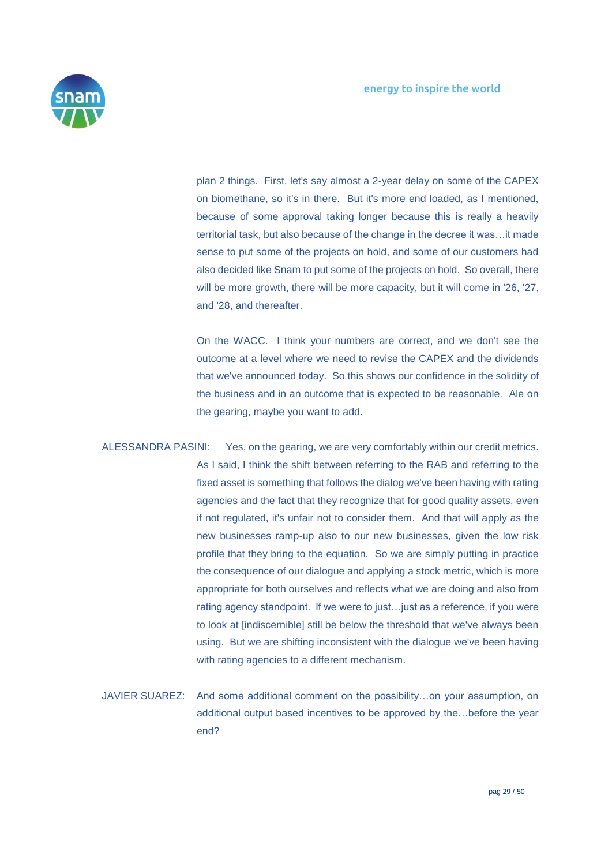

plan 2 things. First, let's say almost a 2-year delay on some of the CAPEX on biomethane, so it's in there. But it's more end loaded, as I mentioned, because of some approval taking longer because this is really a heavily territorial task, but also because of the change in the decree it was…it made sense to put some of the projects on hold, and some of our customers had also decided like Snam to put some of the projects on hold. So overall, there will be more growth, there will be more capacity, but it will come in '26, '27, and '28, and thereafter.

On the WACC. I think your numbers are correct, and we don't see the outcome at a level where we need to revise the CAPEX and the dividends that we've announced today. So this shows our confidence in the solidity of the business and in an outcome that is expected to be reasonable. Ale on the gearing, maybe you want to add.

ALESSANDRA PASINI: Yes, on the gearing, we are very comfortably within our credit metrics. As I said, I think the shift between referring to the RAB and referring to the fixed asset is something that follows the dialog we've been having with rating agencies and the fact that they recognize that for good quality assets, even if not regulated, it's unfair not to consider them. And that will apply as the new businesses ramp-up also to our new businesses, given the low risk profile that they bring to the equation. So we are simply putting in practice the consequence of our dialogue and applying a stock metric, which is more appropriate for both ourselves and reflects what we are doing and also from rating agency standpoint. If we were to just…just as a reference, if you were to look at [indiscernible] still be below the threshold that we've always been using. But we are shifting inconsistent with the dialogue we've been having with rating agencies to a different mechanism.

JAVIER SUAREZ: And some additional comment on the possibility…on your assumption, on additional output based incentives to be approved by the…before the year end?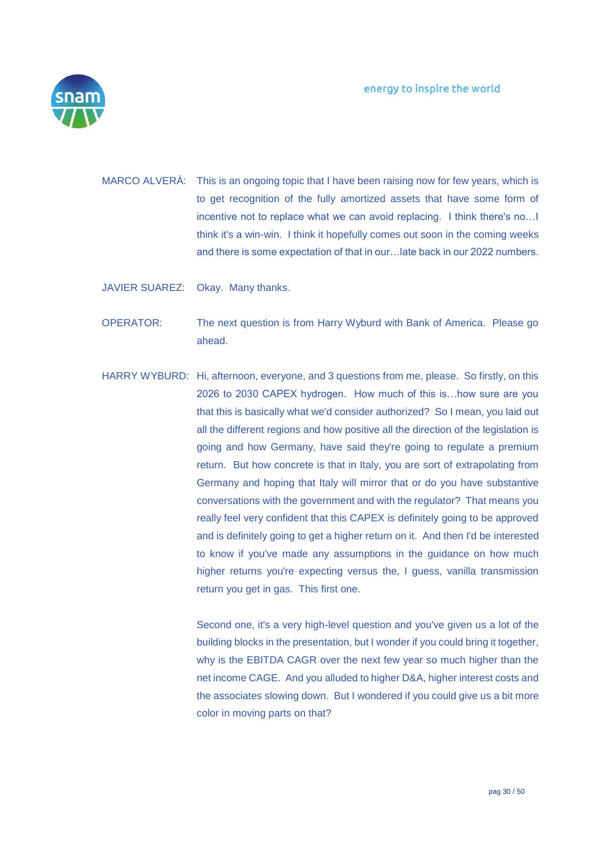

MARCO ALVERÀ: This is an ongoing topic that I have been raising now for few years, which is to get recognition of the fully amortized assets that have some form of incentive not to replace what we can avoid replacing. I think there's no…I think it's a win-win. I think it hopefully comes out soon in the coming weeks and there is some expectation of that in our…late back in our 2022 numbers.

JAVIER SUAREZ: Okay. Many thanks.

OPERATOR: The next question is from Harry Wyburd with Bank of America. Please go ahead.

HARRY WYBURD: Hi, afternoon, everyone, and 3 questions from me, please. So firstly, on this 2026 to 2030 CAPEX hydrogen. How much of this is…how sure are you that this is basically what we'd consider authorized? So I mean, you laid out all the different regions and how positive all the direction of the legislation is going and how Germany, have said they're going to regulate a premium return. But how concrete is that in Italy, you are sort of extrapolating from Germany and hoping that Italy will mirror that or do you have substantive conversations with the government and with the regulator? That means you really feel very confident that this CAPEX is definitely going to be approved and is definitely going to get a higher return on it. And then I'd be interested to know if you've made any assumptions in the guidance on how much higher returns you're expecting versus the, I guess, vanilla transmission return you get in gas. This first one.

> Second one, it's a very high-level question and you've given us a lot of the building blocks in the presentation, but I wonder if you could bring it together, why is the EBITDA CAGR over the next few year so much higher than the net income CAGE. And you alluded to higher D&A, higher interest costs and the associates slowing down. But I wondered if you could give us a bit more color in moving parts on that?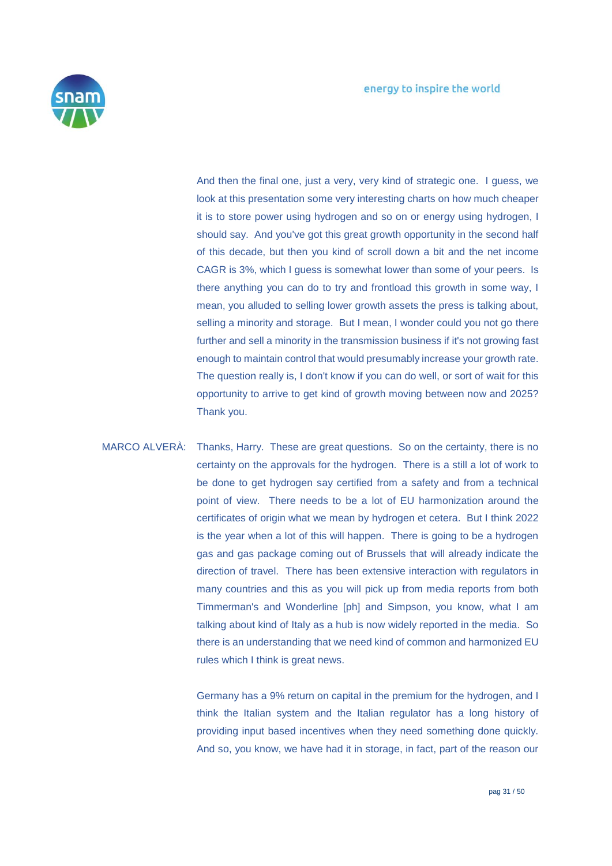

And then the final one, just a very, very kind of strategic one. I guess, we look at this presentation some very interesting charts on how much cheaper it is to store power using hydrogen and so on or energy using hydrogen, I should say. And you've got this great growth opportunity in the second half of this decade, but then you kind of scroll down a bit and the net income CAGR is 3%, which I guess is somewhat lower than some of your peers. Is there anything you can do to try and frontload this growth in some way, I mean, you alluded to selling lower growth assets the press is talking about, selling a minority and storage. But I mean, I wonder could you not go there further and sell a minority in the transmission business if it's not growing fast enough to maintain control that would presumably increase your growth rate. The question really is, I don't know if you can do well, or sort of wait for this opportunity to arrive to get kind of growth moving between now and 2025? Thank you.

MARCO ALVERÀ: Thanks, Harry. These are great questions. So on the certainty, there is no certainty on the approvals for the hydrogen. There is a still a lot of work to be done to get hydrogen say certified from a safety and from a technical point of view. There needs to be a lot of EU harmonization around the certificates of origin what we mean by hydrogen et cetera. But I think 2022 is the year when a lot of this will happen. There is going to be a hydrogen gas and gas package coming out of Brussels that will already indicate the direction of travel. There has been extensive interaction with regulators in many countries and this as you will pick up from media reports from both Timmerman's and Wonderline [ph] and Simpson, you know, what I am talking about kind of Italy as a hub is now widely reported in the media. So there is an understanding that we need kind of common and harmonized EU rules which I think is great news.

> Germany has a 9% return on capital in the premium for the hydrogen, and I think the Italian system and the Italian regulator has a long history of providing input based incentives when they need something done quickly. And so, you know, we have had it in storage, in fact, part of the reason our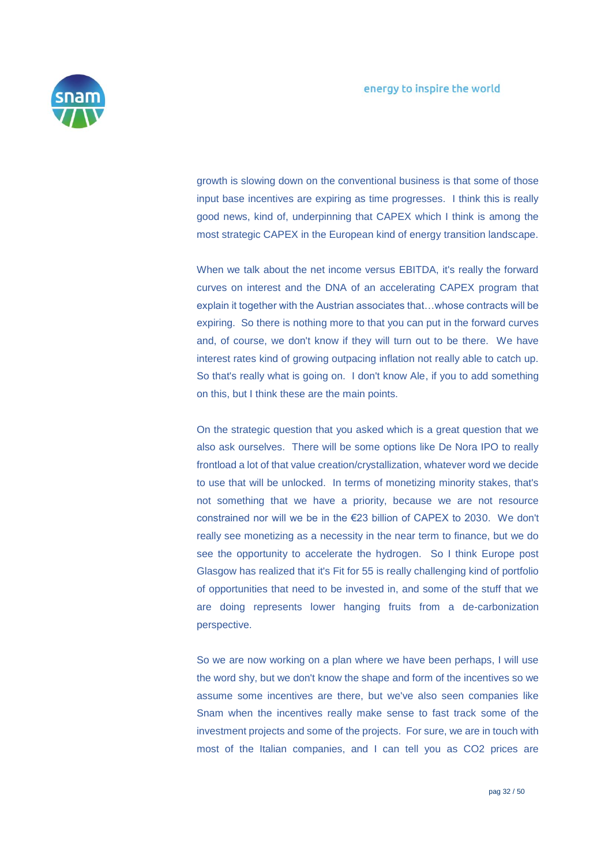

growth is slowing down on the conventional business is that some of those input base incentives are expiring as time progresses. I think this is really good news, kind of, underpinning that CAPEX which I think is among the most strategic CAPEX in the European kind of energy transition landscape.

When we talk about the net income versus EBITDA, it's really the forward curves on interest and the DNA of an accelerating CAPEX program that explain it together with the Austrian associates that…whose contracts will be expiring. So there is nothing more to that you can put in the forward curves and, of course, we don't know if they will turn out to be there. We have interest rates kind of growing outpacing inflation not really able to catch up. So that's really what is going on. I don't know Ale, if you to add something on this, but I think these are the main points.

On the strategic question that you asked which is a great question that we also ask ourselves. There will be some options like De Nora IPO to really frontload a lot of that value creation/crystallization, whatever word we decide to use that will be unlocked. In terms of monetizing minority stakes, that's not something that we have a priority, because we are not resource constrained nor will we be in the €23 billion of CAPEX to 2030. We don't really see monetizing as a necessity in the near term to finance, but we do see the opportunity to accelerate the hydrogen. So I think Europe post Glasgow has realized that it's Fit for 55 is really challenging kind of portfolio of opportunities that need to be invested in, and some of the stuff that we are doing represents lower hanging fruits from a de-carbonization perspective.

So we are now working on a plan where we have been perhaps, I will use the word shy, but we don't know the shape and form of the incentives so we assume some incentives are there, but we've also seen companies like Snam when the incentives really make sense to fast track some of the investment projects and some of the projects. For sure, we are in touch with most of the Italian companies, and I can tell you as CO2 prices are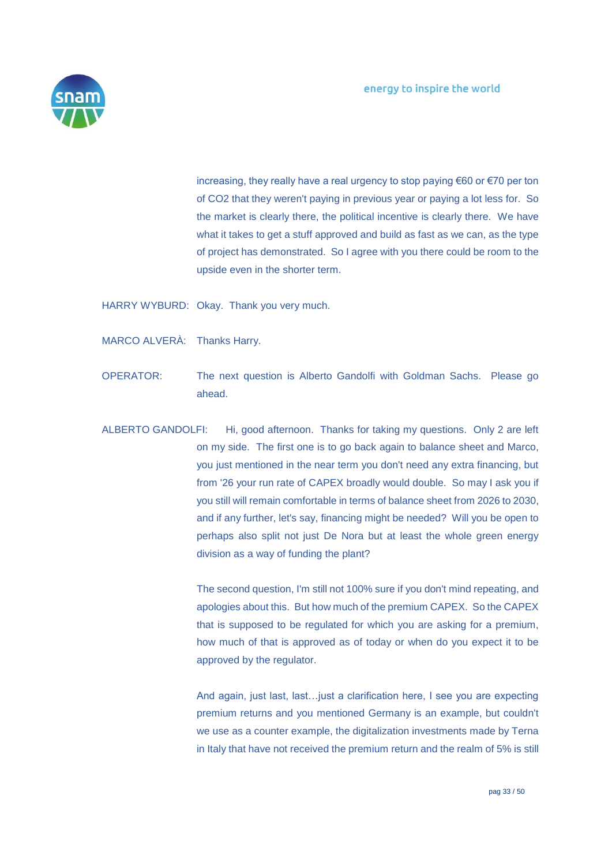

increasing, they really have a real urgency to stop paying €60 or €70 per ton of CO2 that they weren't paying in previous year or paying a lot less for. So the market is clearly there, the political incentive is clearly there. We have what it takes to get a stuff approved and build as fast as we can, as the type of project has demonstrated. So I agree with you there could be room to the upside even in the shorter term.

HARRY WYBURD: Okay. Thank you very much.

- MARCO ALVERÀ: Thanks Harry.
- OPERATOR: The next question is Alberto Gandolfi with Goldman Sachs. Please go ahead.
- ALBERTO GANDOLFI: Hi, good afternoon. Thanks for taking my questions. Only 2 are left on my side. The first one is to go back again to balance sheet and Marco, you just mentioned in the near term you don't need any extra financing, but from '26 your run rate of CAPEX broadly would double. So may I ask you if you still will remain comfortable in terms of balance sheet from 2026 to 2030, and if any further, let's say, financing might be needed? Will you be open to perhaps also split not just De Nora but at least the whole green energy division as a way of funding the plant?

The second question, I'm still not 100% sure if you don't mind repeating, and apologies about this. But how much of the premium CAPEX. So the CAPEX that is supposed to be regulated for which you are asking for a premium, how much of that is approved as of today or when do you expect it to be approved by the regulator.

And again, just last, last…just a clarification here, I see you are expecting premium returns and you mentioned Germany is an example, but couldn't we use as a counter example, the digitalization investments made by Terna in Italy that have not received the premium return and the realm of 5% is still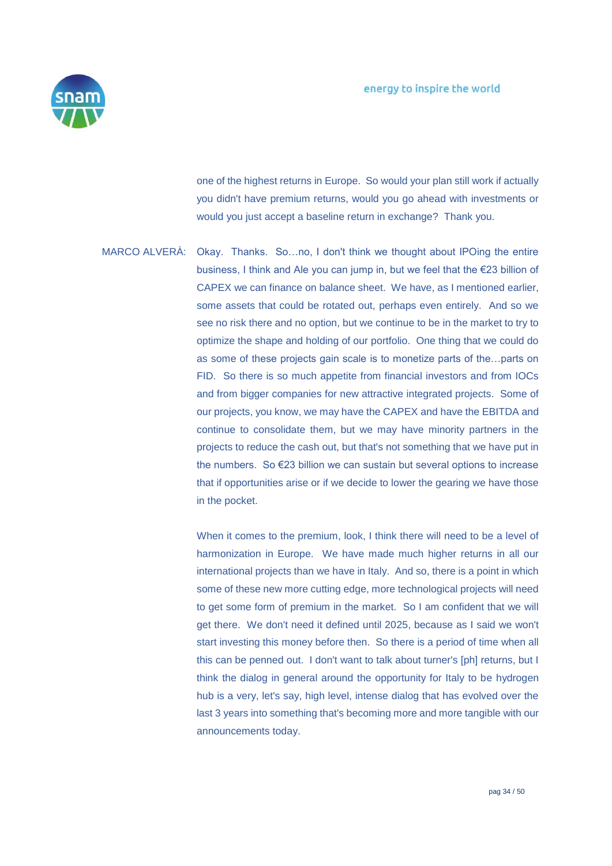

one of the highest returns in Europe. So would your plan still work if actually you didn't have premium returns, would you go ahead with investments or would you just accept a baseline return in exchange? Thank you.

MARCO ALVERÀ: Okay. Thanks. So…no, I don't think we thought about IPOing the entire business, I think and Ale you can jump in, but we feel that the €23 billion of CAPEX we can finance on balance sheet. We have, as I mentioned earlier, some assets that could be rotated out, perhaps even entirely. And so we see no risk there and no option, but we continue to be in the market to try to optimize the shape and holding of our portfolio. One thing that we could do as some of these projects gain scale is to monetize parts of the…parts on FID. So there is so much appetite from financial investors and from IOCs and from bigger companies for new attractive integrated projects. Some of our projects, you know, we may have the CAPEX and have the EBITDA and continue to consolidate them, but we may have minority partners in the projects to reduce the cash out, but that's not something that we have put in the numbers. So €23 billion we can sustain but several options to increase that if opportunities arise or if we decide to lower the gearing we have those in the pocket.

> When it comes to the premium, look, I think there will need to be a level of harmonization in Europe. We have made much higher returns in all our international projects than we have in Italy. And so, there is a point in which some of these new more cutting edge, more technological projects will need to get some form of premium in the market. So I am confident that we will get there. We don't need it defined until 2025, because as I said we won't start investing this money before then. So there is a period of time when all this can be penned out. I don't want to talk about turner's [ph] returns, but I think the dialog in general around the opportunity for Italy to be hydrogen hub is a very, let's say, high level, intense dialog that has evolved over the last 3 years into something that's becoming more and more tangible with our announcements today.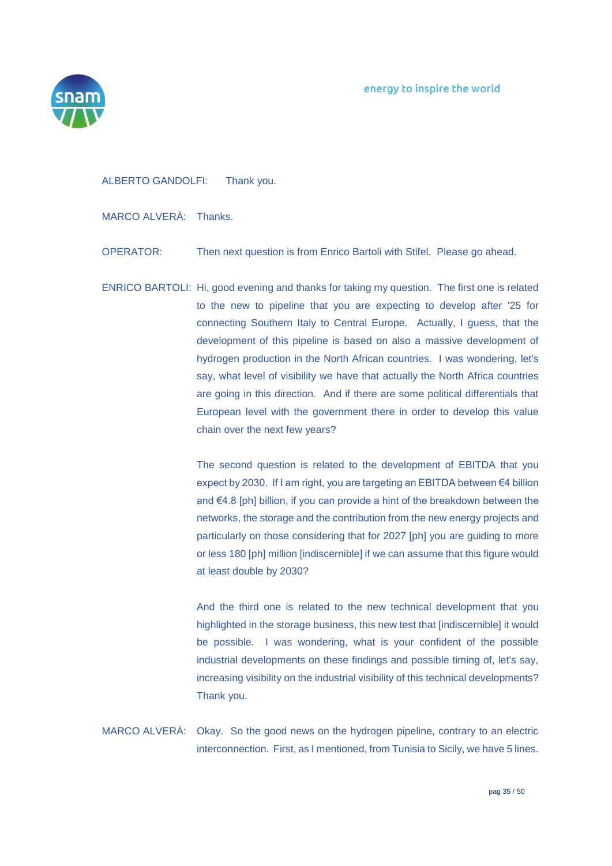

## ALBERTO GANDOLFI: Thank you.

MARCO ALVERÀ: Thanks.

OPERATOR: Then next question is from Enrico Bartoli with Stifel. Please go ahead.

ENRICO BARTOLI: Hi, good evening and thanks for taking my question. The first one is related to the new to pipeline that you are expecting to develop after '25 for connecting Southern Italy to Central Europe. Actually, I guess, that the development of this pipeline is based on also a massive development of hydrogen production in the North African countries. I was wondering, let's say, what level of visibility we have that actually the North Africa countries are going in this direction. And if there are some political differentials that European level with the government there in order to develop this value chain over the next few years?

> The second question is related to the development of EBITDA that you expect by 2030. If I am right, you are targeting an EBITDA between €4 billion and €4.8 [ph] billion, if you can provide a hint of the breakdown between the networks, the storage and the contribution from the new energy projects and particularly on those considering that for 2027 [ph] you are guiding to more or less 180 [ph] million [indiscernible] if we can assume that this figure would at least double by 2030?

> And the third one is related to the new technical development that you highlighted in the storage business, this new test that [indiscernible] it would be possible. I was wondering, what is your confident of the possible industrial developments on these findings and possible timing of, let's say, increasing visibility on the industrial visibility of this technical developments? Thank you.

MARCO ALVERÀ: Okay. So the good news on the hydrogen pipeline, contrary to an electric interconnection. First, as I mentioned, from Tunisia to Sicily, we have 5 lines.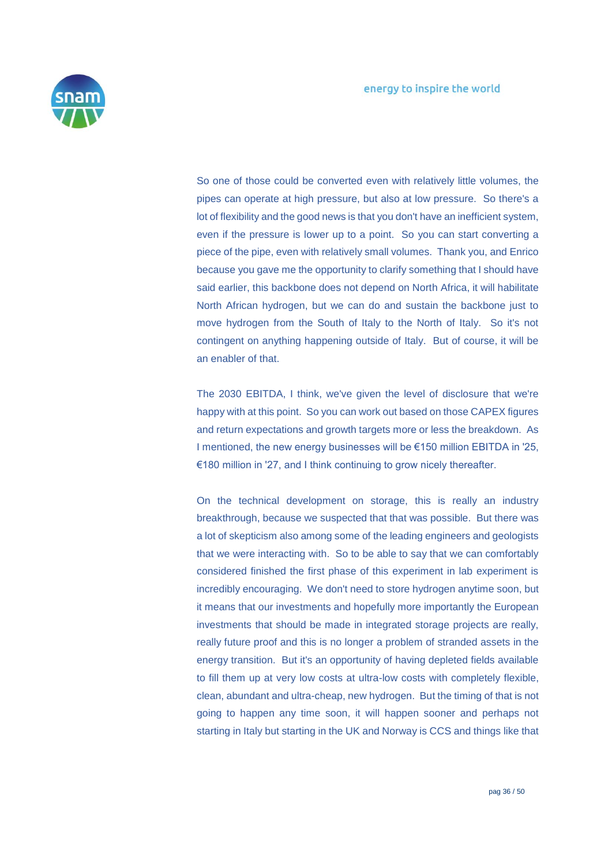

So one of those could be converted even with relatively little volumes, the pipes can operate at high pressure, but also at low pressure. So there's a lot of flexibility and the good news is that you don't have an inefficient system, even if the pressure is lower up to a point. So you can start converting a piece of the pipe, even with relatively small volumes. Thank you, and Enrico because you gave me the opportunity to clarify something that I should have said earlier, this backbone does not depend on North Africa, it will habilitate North African hydrogen, but we can do and sustain the backbone just to move hydrogen from the South of Italy to the North of Italy. So it's not contingent on anything happening outside of Italy. But of course, it will be an enabler of that.

The 2030 EBITDA, I think, we've given the level of disclosure that we're happy with at this point. So you can work out based on those CAPEX figures and return expectations and growth targets more or less the breakdown. As I mentioned, the new energy businesses will be €150 million EBITDA in '25, €180 million in '27, and I think continuing to grow nicely thereafter.

On the technical development on storage, this is really an industry breakthrough, because we suspected that that was possible. But there was a lot of skepticism also among some of the leading engineers and geologists that we were interacting with. So to be able to say that we can comfortably considered finished the first phase of this experiment in lab experiment is incredibly encouraging. We don't need to store hydrogen anytime soon, but it means that our investments and hopefully more importantly the European investments that should be made in integrated storage projects are really, really future proof and this is no longer a problem of stranded assets in the energy transition. But it's an opportunity of having depleted fields available to fill them up at very low costs at ultra-low costs with completely flexible, clean, abundant and ultra-cheap, new hydrogen. But the timing of that is not going to happen any time soon, it will happen sooner and perhaps not starting in Italy but starting in the UK and Norway is CCS and things like that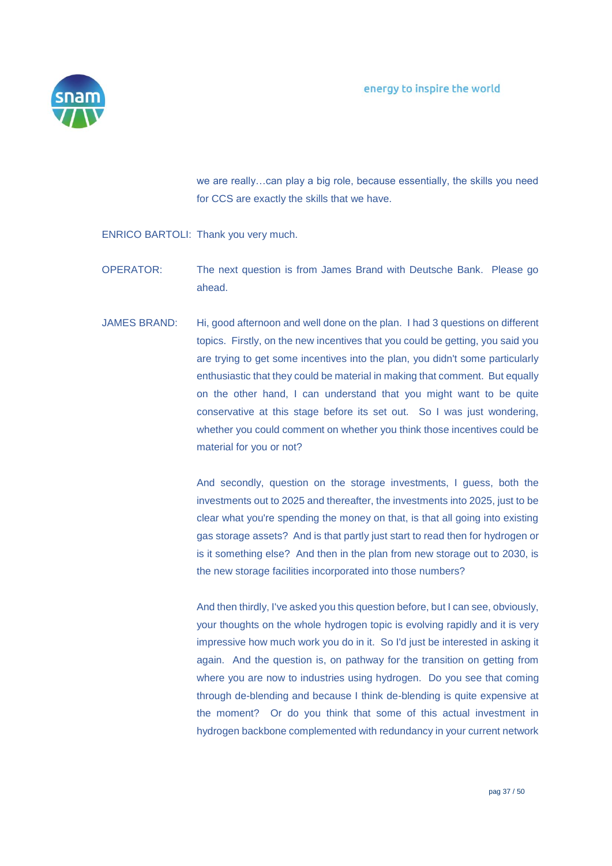

we are really…can play a big role, because essentially, the skills you need for CCS are exactly the skills that we have.

ENRICO BARTOLI: Thank you very much.

- OPERATOR: The next question is from James Brand with Deutsche Bank. Please go ahead.
- JAMES BRAND: Hi, good afternoon and well done on the plan. I had 3 questions on different topics. Firstly, on the new incentives that you could be getting, you said you are trying to get some incentives into the plan, you didn't some particularly enthusiastic that they could be material in making that comment. But equally on the other hand, I can understand that you might want to be quite conservative at this stage before its set out. So I was just wondering, whether you could comment on whether you think those incentives could be material for you or not?

And secondly, question on the storage investments, I guess, both the investments out to 2025 and thereafter, the investments into 2025, just to be clear what you're spending the money on that, is that all going into existing gas storage assets? And is that partly just start to read then for hydrogen or is it something else? And then in the plan from new storage out to 2030, is the new storage facilities incorporated into those numbers?

And then thirdly, I've asked you this question before, but I can see, obviously, your thoughts on the whole hydrogen topic is evolving rapidly and it is very impressive how much work you do in it. So I'd just be interested in asking it again. And the question is, on pathway for the transition on getting from where you are now to industries using hydrogen. Do you see that coming through de-blending and because I think de-blending is quite expensive at the moment? Or do you think that some of this actual investment in hydrogen backbone complemented with redundancy in your current network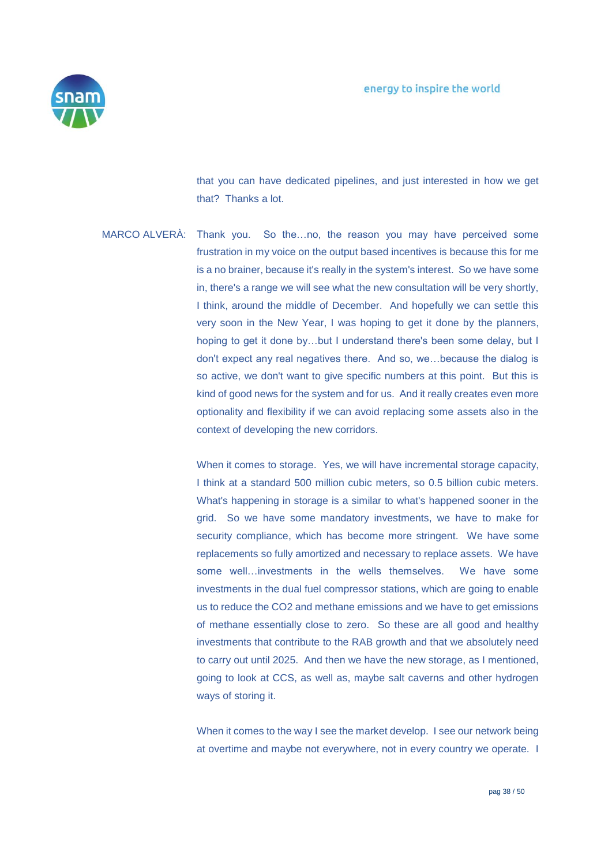

that you can have dedicated pipelines, and just interested in how we get that? Thanks a lot.

MARCO ALVERÀ: Thank you. So the…no, the reason you may have perceived some frustration in my voice on the output based incentives is because this for me is a no brainer, because it's really in the system's interest. So we have some in, there's a range we will see what the new consultation will be very shortly, I think, around the middle of December. And hopefully we can settle this very soon in the New Year, I was hoping to get it done by the planners, hoping to get it done by…but I understand there's been some delay, but I don't expect any real negatives there. And so, we…because the dialog is so active, we don't want to give specific numbers at this point. But this is kind of good news for the system and for us. And it really creates even more optionality and flexibility if we can avoid replacing some assets also in the context of developing the new corridors.

> When it comes to storage. Yes, we will have incremental storage capacity, I think at a standard 500 million cubic meters, so 0.5 billion cubic meters. What's happening in storage is a similar to what's happened sooner in the grid. So we have some mandatory investments, we have to make for security compliance, which has become more stringent. We have some replacements so fully amortized and necessary to replace assets. We have some well…investments in the wells themselves. We have some investments in the dual fuel compressor stations, which are going to enable us to reduce the CO2 and methane emissions and we have to get emissions of methane essentially close to zero. So these are all good and healthy investments that contribute to the RAB growth and that we absolutely need to carry out until 2025. And then we have the new storage, as I mentioned, going to look at CCS, as well as, maybe salt caverns and other hydrogen ways of storing it.

> When it comes to the way I see the market develop. I see our network being at overtime and maybe not everywhere, not in every country we operate. I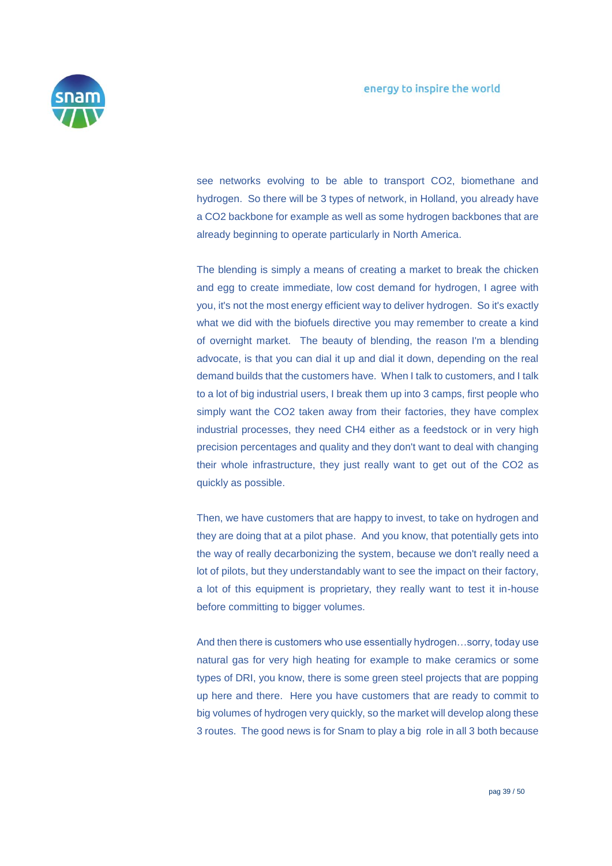

see networks evolving to be able to transport CO2, biomethane and hydrogen. So there will be 3 types of network, in Holland, you already have a CO2 backbone for example as well as some hydrogen backbones that are already beginning to operate particularly in North America.

The blending is simply a means of creating a market to break the chicken and egg to create immediate, low cost demand for hydrogen, I agree with you, it's not the most energy efficient way to deliver hydrogen. So it's exactly what we did with the biofuels directive you may remember to create a kind of overnight market. The beauty of blending, the reason I'm a blending advocate, is that you can dial it up and dial it down, depending on the real demand builds that the customers have. When I talk to customers, and I talk to a lot of big industrial users, I break them up into 3 camps, first people who simply want the CO2 taken away from their factories, they have complex industrial processes, they need CH4 either as a feedstock or in very high precision percentages and quality and they don't want to deal with changing their whole infrastructure, they just really want to get out of the CO2 as quickly as possible.

Then, we have customers that are happy to invest, to take on hydrogen and they are doing that at a pilot phase. And you know, that potentially gets into the way of really decarbonizing the system, because we don't really need a lot of pilots, but they understandably want to see the impact on their factory, a lot of this equipment is proprietary, they really want to test it in-house before committing to bigger volumes.

And then there is customers who use essentially hydrogen…sorry, today use natural gas for very high heating for example to make ceramics or some types of DRI, you know, there is some green steel projects that are popping up here and there. Here you have customers that are ready to commit to big volumes of hydrogen very quickly, so the market will develop along these 3 routes. The good news is for Snam to play a big role in all 3 both because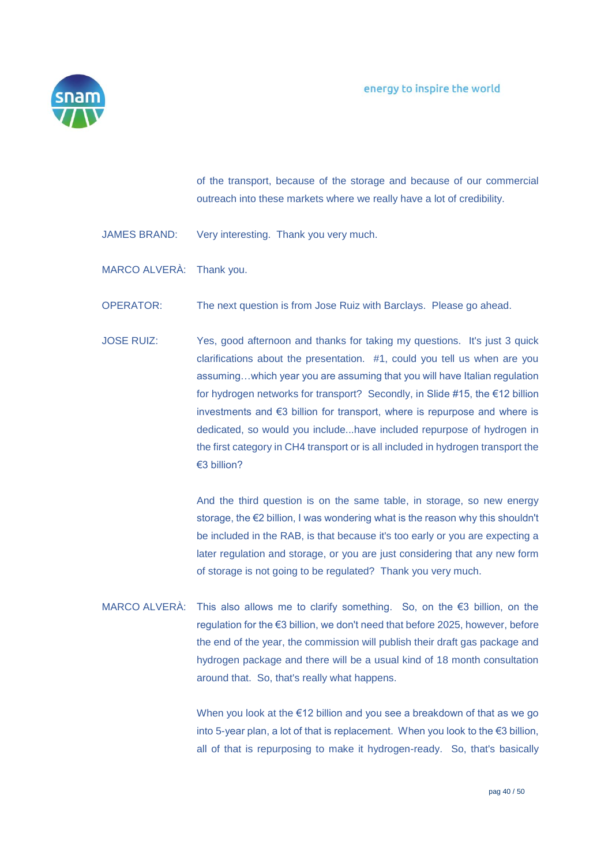

of the transport, because of the storage and because of our commercial outreach into these markets where we really have a lot of credibility.

- JAMES BRAND: Very interesting. Thank you very much.
- MARCO ALVERÀ: Thank you.
- OPERATOR: The next question is from Jose Ruiz with Barclays. Please go ahead.
- JOSE RUIZ: Yes, good afternoon and thanks for taking my questions. It's just 3 quick clarifications about the presentation. #1, could you tell us when are you assuming…which year you are assuming that you will have Italian regulation for hydrogen networks for transport? Secondly, in Slide #15, the €12 billion investments and €3 billion for transport, where is repurpose and where is dedicated, so would you include...have included repurpose of hydrogen in the first category in CH4 transport or is all included in hydrogen transport the €3 billion?

And the third question is on the same table, in storage, so new energy storage, the €2 billion, I was wondering what is the reason why this shouldn't be included in the RAB, is that because it's too early or you are expecting a later regulation and storage, or you are just considering that any new form of storage is not going to be regulated? Thank you very much.

MARCO ALVERÀ: This also allows me to clarify something. So, on the €3 billion, on the regulation for the €3 billion, we don't need that before 2025, however, before the end of the year, the commission will publish their draft gas package and hydrogen package and there will be a usual kind of 18 month consultation around that. So, that's really what happens.

> When you look at the €12 billion and you see a breakdown of that as we go into 5-year plan, a lot of that is replacement. When you look to the €3 billion, all of that is repurposing to make it hydrogen-ready. So, that's basically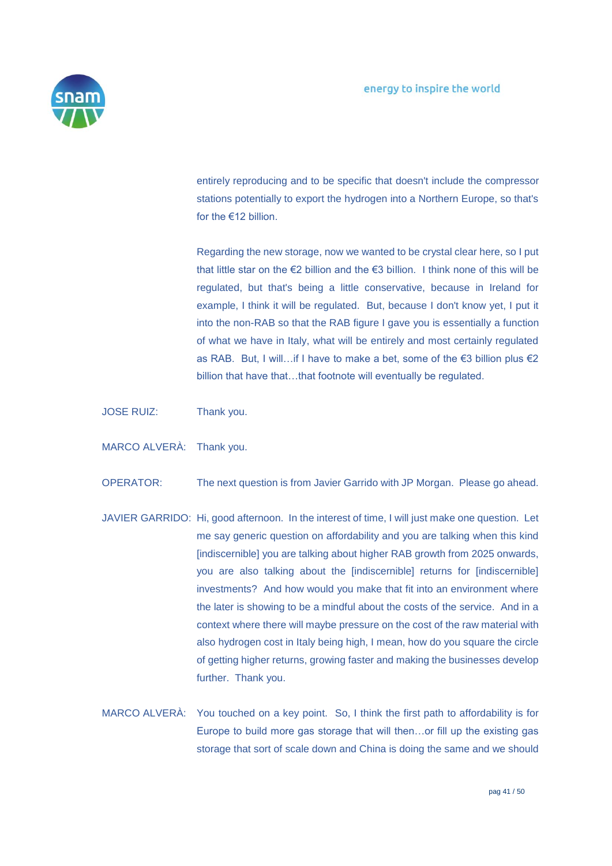

entirely reproducing and to be specific that doesn't include the compressor stations potentially to export the hydrogen into a Northern Europe, so that's for the €12 billion.

Regarding the new storage, now we wanted to be crystal clear here, so I put that little star on the €2 billion and the €3 billion. I think none of this will be regulated, but that's being a little conservative, because in Ireland for example, I think it will be regulated. But, because I don't know yet, I put it into the non-RAB so that the RAB figure I gave you is essentially a function of what we have in Italy, what will be entirely and most certainly regulated as RAB. But, I will…if I have to make a bet, some of the €3 billion plus €2 billion that have that…that footnote will eventually be regulated.

JOSE RUIZ: Thank you.

MARCO ALVERÀ: Thank you.

OPERATOR: The next question is from Javier Garrido with JP Morgan. Please go ahead.

- JAVIER GARRIDO: Hi, good afternoon. In the interest of time, I will just make one question. Let me say generic question on affordability and you are talking when this kind [indiscernible] you are talking about higher RAB growth from 2025 onwards, you are also talking about the [indiscernible] returns for [indiscernible] investments? And how would you make that fit into an environment where the later is showing to be a mindful about the costs of the service. And in a context where there will maybe pressure on the cost of the raw material with also hydrogen cost in Italy being high, I mean, how do you square the circle of getting higher returns, growing faster and making the businesses develop further. Thank you.
- MARCO ALVERÀ: You touched on a key point. So, I think the first path to affordability is for Europe to build more gas storage that will then…or fill up the existing gas storage that sort of scale down and China is doing the same and we should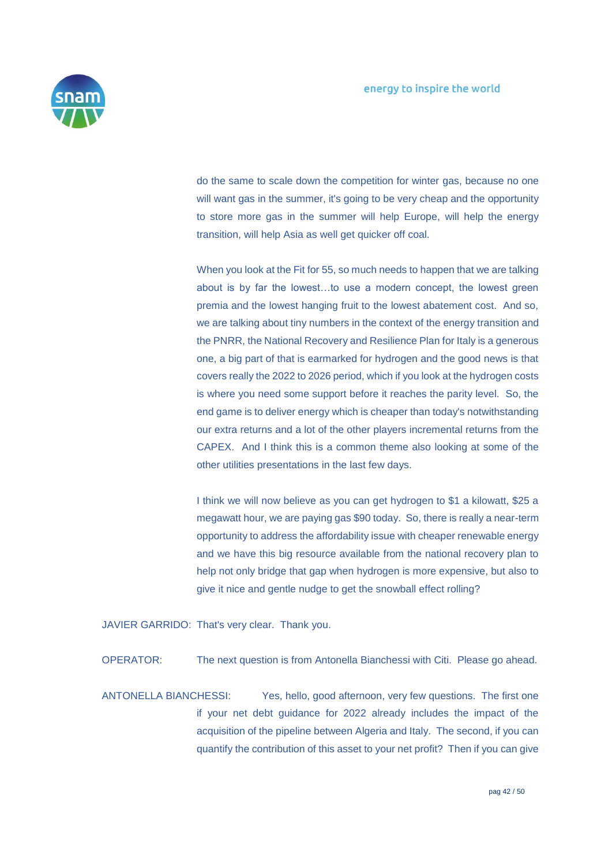

do the same to scale down the competition for winter gas, because no one will want gas in the summer, it's going to be very cheap and the opportunity to store more gas in the summer will help Europe, will help the energy transition, will help Asia as well get quicker off coal.

When you look at the Fit for 55, so much needs to happen that we are talking about is by far the lowest…to use a modern concept, the lowest green premia and the lowest hanging fruit to the lowest abatement cost. And so, we are talking about tiny numbers in the context of the energy transition and the PNRR, the National Recovery and Resilience Plan for Italy is a generous one, a big part of that is earmarked for hydrogen and the good news is that covers really the 2022 to 2026 period, which if you look at the hydrogen costs is where you need some support before it reaches the parity level. So, the end game is to deliver energy which is cheaper than today's notwithstanding our extra returns and a lot of the other players incremental returns from the CAPEX. And I think this is a common theme also looking at some of the other utilities presentations in the last few days.

I think we will now believe as you can get hydrogen to \$1 a kilowatt, \$25 a megawatt hour, we are paying gas \$90 today. So, there is really a near-term opportunity to address the affordability issue with cheaper renewable energy and we have this big resource available from the national recovery plan to help not only bridge that gap when hydrogen is more expensive, but also to give it nice and gentle nudge to get the snowball effect rolling?

JAVIER GARRIDO: That's very clear. Thank you.

OPERATOR: The next question is from Antonella Bianchessi with Citi. Please go ahead.

ANTONELLA BIANCHESSI: Yes, hello, good afternoon, very few questions. The first one if your net debt guidance for 2022 already includes the impact of the acquisition of the pipeline between Algeria and Italy. The second, if you can quantify the contribution of this asset to your net profit? Then if you can give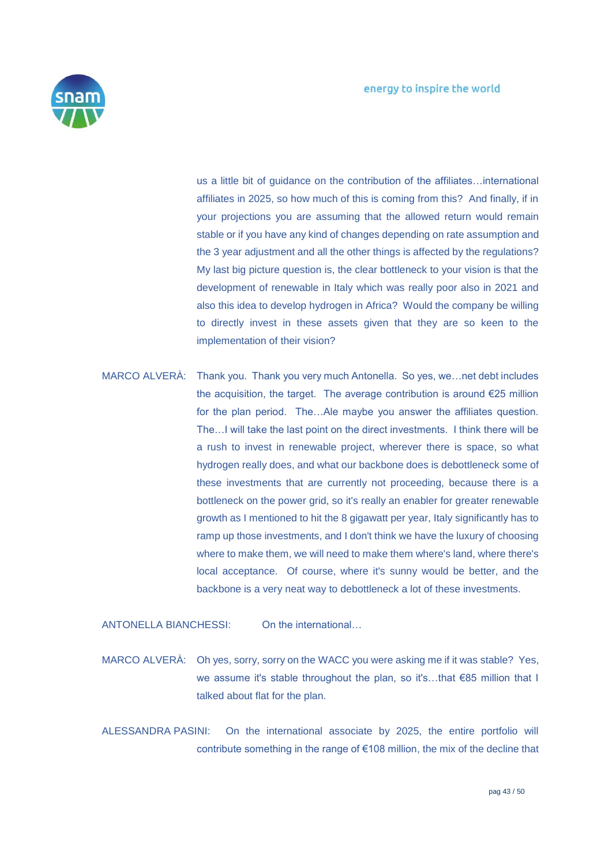

us a little bit of guidance on the contribution of the affiliates…international affiliates in 2025, so how much of this is coming from this? And finally, if in your projections you are assuming that the allowed return would remain stable or if you have any kind of changes depending on rate assumption and the 3 year adjustment and all the other things is affected by the regulations? My last big picture question is, the clear bottleneck to your vision is that the development of renewable in Italy which was really poor also in 2021 and also this idea to develop hydrogen in Africa? Would the company be willing to directly invest in these assets given that they are so keen to the implementation of their vision?

MARCO ALVERÀ: Thank you. Thank you very much Antonella. So yes, we…net debt includes the acquisition, the target. The average contribution is around €25 million for the plan period. The…Ale maybe you answer the affiliates question. The…I will take the last point on the direct investments. I think there will be a rush to invest in renewable project, wherever there is space, so what hydrogen really does, and what our backbone does is debottleneck some of these investments that are currently not proceeding, because there is a bottleneck on the power grid, so it's really an enabler for greater renewable growth as I mentioned to hit the 8 gigawatt per year, Italy significantly has to ramp up those investments, and I don't think we have the luxury of choosing where to make them, we will need to make them where's land, where there's local acceptance. Of course, where it's sunny would be better, and the backbone is a very neat way to debottleneck a lot of these investments.

ANTONELLA BIANCHESSI: On the international…

- MARCO ALVERÀ: Oh yes, sorry, sorry on the WACC you were asking me if it was stable? Yes, we assume it's stable throughout the plan, so it's...that €85 million that I talked about flat for the plan.
- ALESSANDRA PASINI: On the international associate by 2025, the entire portfolio will contribute something in the range of €108 million, the mix of the decline that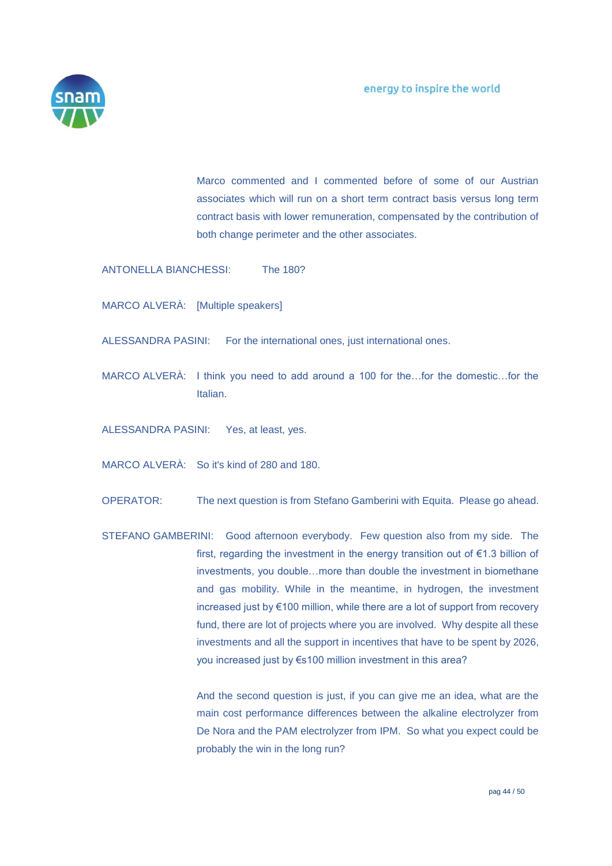

Marco commented and I commented before of some of our Austrian associates which will run on a short term contract basis versus long term contract basis with lower remuneration, compensated by the contribution of both change perimeter and the other associates.

ANTONELLA BIANCHESSI: The 180?

MARCO ALVERÀ: [Multiple speakers]

ALESSANDRA PASINI: For the international ones, just international ones.

MARCO ALVERÀ: I think you need to add around a 100 for the…for the domestic…for the Italian.

ALESSANDRA PASINI: Yes, at least, yes.

MARCO ALVERÀ: So it's kind of 280 and 180.

OPERATOR: The next question is from Stefano Gamberini with Equita. Please go ahead.

STEFANO GAMBERINI: Good afternoon everybody. Few question also from my side. The first, regarding the investment in the energy transition out of €1.3 billion of investments, you double…more than double the investment in biomethane and gas mobility. While in the meantime, in hydrogen, the investment increased just by €100 million, while there are a lot of support from recovery fund, there are lot of projects where you are involved. Why despite all these investments and all the support in incentives that have to be spent by 2026, you increased just by €s100 million investment in this area?

> And the second question is just, if you can give me an idea, what are the main cost performance differences between the alkaline electrolyzer from De Nora and the PAM electrolyzer from IPM. So what you expect could be probably the win in the long run?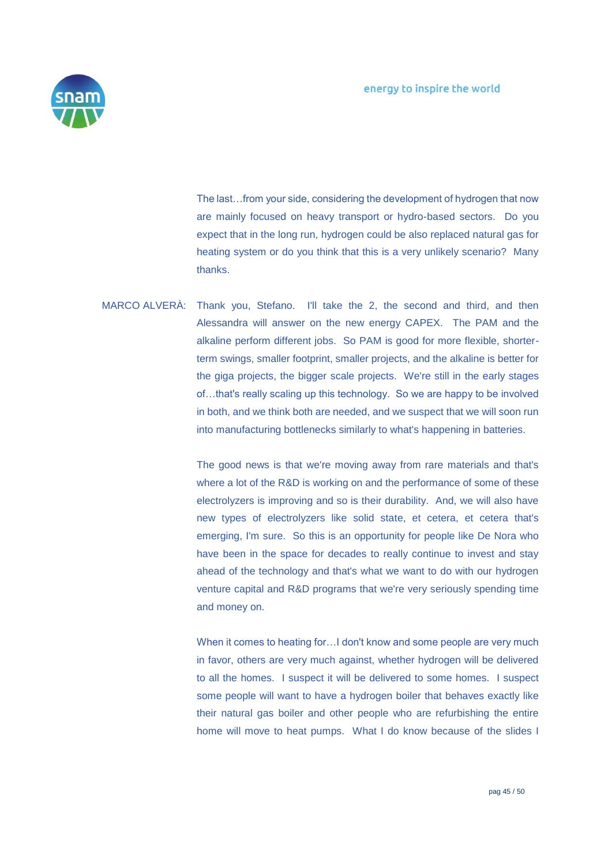

The last…from your side, considering the development of hydrogen that now are mainly focused on heavy transport or hydro-based sectors. Do you expect that in the long run, hydrogen could be also replaced natural gas for heating system or do you think that this is a very unlikely scenario? Many thanks.

MARCO ALVERÀ: Thank you, Stefano. I'll take the 2, the second and third, and then Alessandra will answer on the new energy CAPEX. The PAM and the alkaline perform different jobs. So PAM is good for more flexible, shorterterm swings, smaller footprint, smaller projects, and the alkaline is better for the giga projects, the bigger scale projects. We're still in the early stages of…that's really scaling up this technology. So we are happy to be involved in both, and we think both are needed, and we suspect that we will soon run into manufacturing bottlenecks similarly to what's happening in batteries.

> The good news is that we're moving away from rare materials and that's where a lot of the R&D is working on and the performance of some of these electrolyzers is improving and so is their durability. And, we will also have new types of electrolyzers like solid state, et cetera, et cetera that's emerging, I'm sure. So this is an opportunity for people like De Nora who have been in the space for decades to really continue to invest and stay ahead of the technology and that's what we want to do with our hydrogen venture capital and R&D programs that we're very seriously spending time and money on.

> When it comes to heating for…I don't know and some people are very much in favor, others are very much against, whether hydrogen will be delivered to all the homes. I suspect it will be delivered to some homes. I suspect some people will want to have a hydrogen boiler that behaves exactly like their natural gas boiler and other people who are refurbishing the entire home will move to heat pumps. What I do know because of the slides I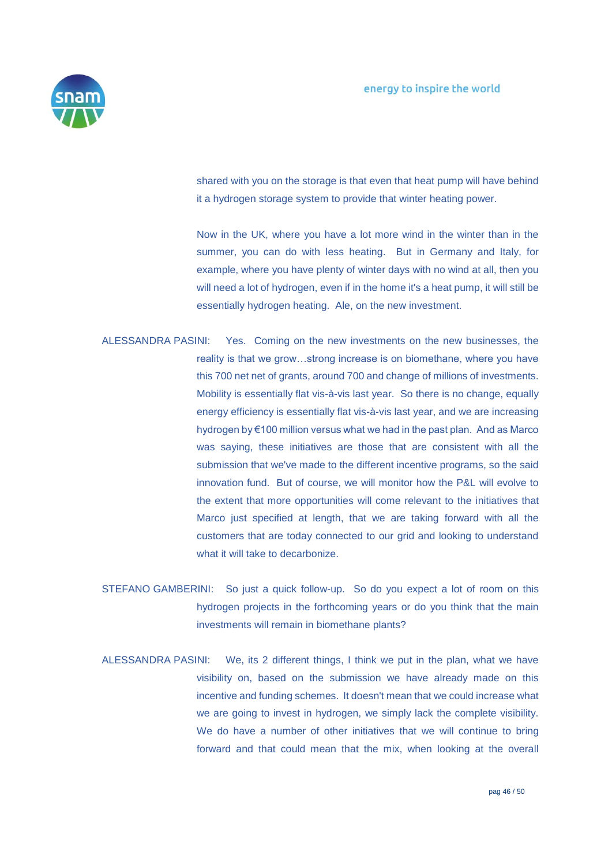

shared with you on the storage is that even that heat pump will have behind it a hydrogen storage system to provide that winter heating power.

Now in the UK, where you have a lot more wind in the winter than in the summer, you can do with less heating. But in Germany and Italy, for example, where you have plenty of winter days with no wind at all, then you will need a lot of hydrogen, even if in the home it's a heat pump, it will still be essentially hydrogen heating. Ale, on the new investment.

- ALESSANDRA PASINI: Yes. Coming on the new investments on the new businesses, the reality is that we grow…strong increase is on biomethane, where you have this 700 net net of grants, around 700 and change of millions of investments. Mobility is essentially flat vis-à-vis last year. So there is no change, equally energy efficiency is essentially flat vis-à-vis last year, and we are increasing hydrogen by €100 million versus what we had in the past plan. And as Marco was saying, these initiatives are those that are consistent with all the submission that we've made to the different incentive programs, so the said innovation fund. But of course, we will monitor how the P&L will evolve to the extent that more opportunities will come relevant to the initiatives that Marco just specified at length, that we are taking forward with all the customers that are today connected to our grid and looking to understand what it will take to decarbonize.
- STEFANO GAMBERINI: So just a quick follow-up. So do you expect a lot of room on this hydrogen projects in the forthcoming years or do you think that the main investments will remain in biomethane plants?
- ALESSANDRA PASINI: We, its 2 different things, I think we put in the plan, what we have visibility on, based on the submission we have already made on this incentive and funding schemes. It doesn't mean that we could increase what we are going to invest in hydrogen, we simply lack the complete visibility. We do have a number of other initiatives that we will continue to bring forward and that could mean that the mix, when looking at the overall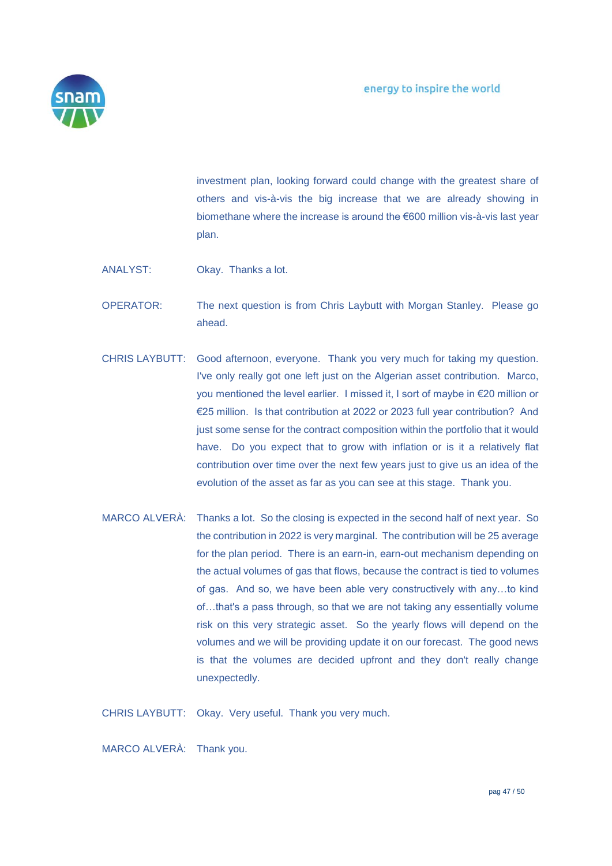

investment plan, looking forward could change with the greatest share of others and vis-à-vis the big increase that we are already showing in biomethane where the increase is around the €600 million vis-à-vis last year plan.

- ANALYST: Okay. Thanks a lot.
- OPERATOR: The next question is from Chris Laybutt with Morgan Stanley. Please go ahead.
- CHRIS LAYBUTT: Good afternoon, everyone. Thank you very much for taking my question. I've only really got one left just on the Algerian asset contribution. Marco, you mentioned the level earlier. I missed it, I sort of maybe in €20 million or €25 million. Is that contribution at 2022 or 2023 full year contribution? And just some sense for the contract composition within the portfolio that it would have. Do you expect that to grow with inflation or is it a relatively flat contribution over time over the next few years just to give us an idea of the evolution of the asset as far as you can see at this stage. Thank you.
- MARCO ALVERÀ: Thanks a lot. So the closing is expected in the second half of next year. So the contribution in 2022 is very marginal. The contribution will be 25 average for the plan period. There is an earn-in, earn-out mechanism depending on the actual volumes of gas that flows, because the contract is tied to volumes of gas. And so, we have been able very constructively with any…to kind of…that's a pass through, so that we are not taking any essentially volume risk on this very strategic asset. So the yearly flows will depend on the volumes and we will be providing update it on our forecast. The good news is that the volumes are decided upfront and they don't really change unexpectedly.

CHRIS LAYBUTT: Okay. Very useful. Thank you very much.

MARCO ALVERÀ: Thank you.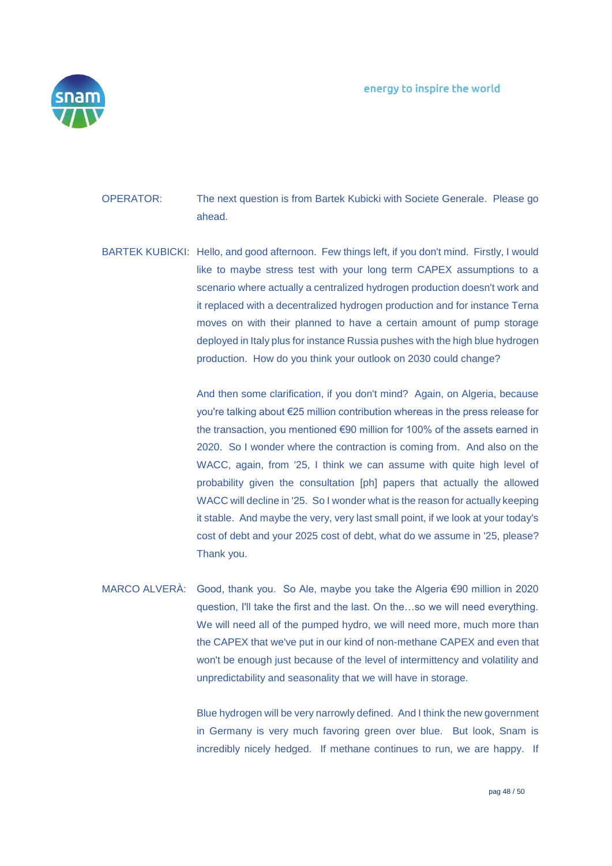

- OPERATOR: The next question is from Bartek Kubicki with Societe Generale. Please go ahead.
- BARTEK KUBICKI: Hello, and good afternoon. Few things left, if you don't mind. Firstly, I would like to maybe stress test with your long term CAPEX assumptions to a scenario where actually a centralized hydrogen production doesn't work and it replaced with a decentralized hydrogen production and for instance Terna moves on with their planned to have a certain amount of pump storage deployed in Italy plus for instance Russia pushes with the high blue hydrogen production. How do you think your outlook on 2030 could change?

And then some clarification, if you don't mind? Again, on Algeria, because you're talking about €25 million contribution whereas in the press release for the transaction, you mentioned €90 million for 100% of the assets earned in 2020. So I wonder where the contraction is coming from. And also on the WACC, again, from '25, I think we can assume with quite high level of probability given the consultation [ph] papers that actually the allowed WACC will decline in '25. So I wonder what is the reason for actually keeping it stable. And maybe the very, very last small point, if we look at your today's cost of debt and your 2025 cost of debt, what do we assume in '25, please? Thank you.

MARCO ALVERÀ: Good, thank you. So Ale, maybe you take the Algeria €90 million in 2020 question, I'll take the first and the last. On the…so we will need everything. We will need all of the pumped hydro, we will need more, much more than the CAPEX that we've put in our kind of non-methane CAPEX and even that won't be enough just because of the level of intermittency and volatility and unpredictability and seasonality that we will have in storage.

> Blue hydrogen will be very narrowly defined. And I think the new government in Germany is very much favoring green over blue. But look, Snam is incredibly nicely hedged. If methane continues to run, we are happy. If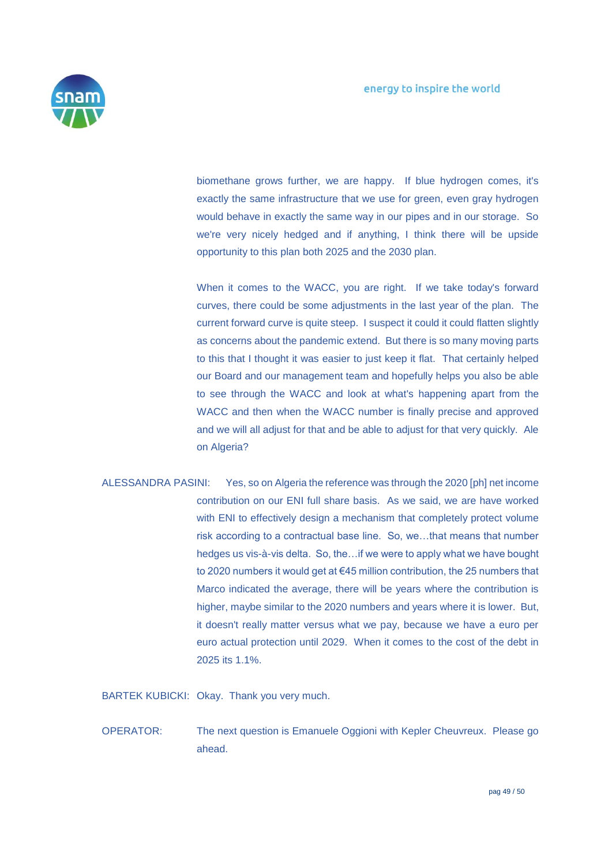

biomethane grows further, we are happy. If blue hydrogen comes, it's exactly the same infrastructure that we use for green, even gray hydrogen would behave in exactly the same way in our pipes and in our storage. So we're very nicely hedged and if anything, I think there will be upside opportunity to this plan both 2025 and the 2030 plan.

When it comes to the WACC, you are right. If we take today's forward curves, there could be some adjustments in the last year of the plan. The current forward curve is quite steep. I suspect it could it could flatten slightly as concerns about the pandemic extend. But there is so many moving parts to this that I thought it was easier to just keep it flat. That certainly helped our Board and our management team and hopefully helps you also be able to see through the WACC and look at what's happening apart from the WACC and then when the WACC number is finally precise and approved and we will all adjust for that and be able to adjust for that very quickly. Ale on Algeria?

ALESSANDRA PASINI: Yes, so on Algeria the reference was through the 2020 [ph] net income contribution on our ENI full share basis. As we said, we are have worked with ENI to effectively design a mechanism that completely protect volume risk according to a contractual base line. So, we…that means that number hedges us vis-à-vis delta. So, the…if we were to apply what we have bought to 2020 numbers it would get at €45 million contribution, the 25 numbers that Marco indicated the average, there will be years where the contribution is higher, maybe similar to the 2020 numbers and years where it is lower. But, it doesn't really matter versus what we pay, because we have a euro per euro actual protection until 2029. When it comes to the cost of the debt in 2025 its 1.1%.

BARTEK KUBICKI: Okay. Thank you very much.

OPERATOR: The next question is Emanuele Oggioni with Kepler Cheuvreux. Please go ahead.